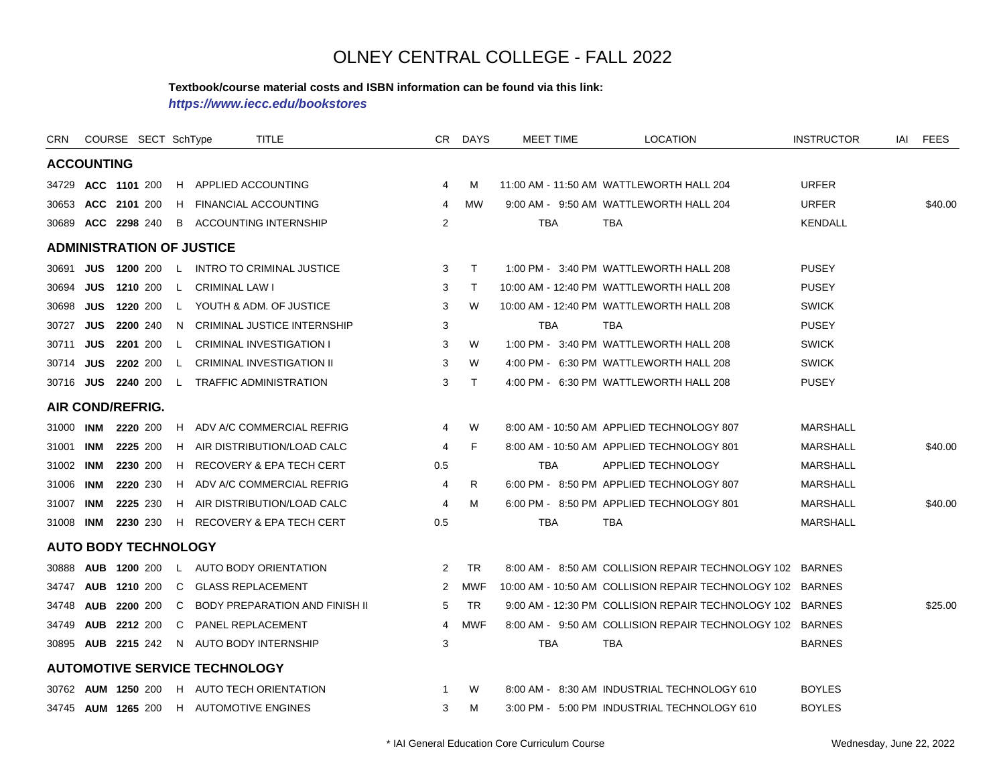#### **Textbook/course material costs and ISBN information can be found via this link:**

*https://www.iecc.edu/bookstores*

| CRN       |                   | COURSE SECT SchType              |              | <b>TITLE</b>                         |                | CR DAYS    | MEET TIME  | <b>LOCATION</b>                                            | <b>INSTRUCTOR</b> | IAI | FEES    |
|-----------|-------------------|----------------------------------|--------------|--------------------------------------|----------------|------------|------------|------------------------------------------------------------|-------------------|-----|---------|
|           | <b>ACCOUNTING</b> |                                  |              |                                      |                |            |            |                                                            |                   |     |         |
|           |                   | 34729 ACC 1101 200               | H.           | APPLIED ACCOUNTING                   | 4              | м          |            | 11:00 AM - 11:50 AM WATTLEWORTH HALL 204                   | <b>URFER</b>      |     |         |
|           |                   | 30653 ACC 2101 200               | H.           | <b>FINANCIAL ACCOUNTING</b>          | 4              | <b>MW</b>  |            | 9:00 AM - 9:50 AM WATTLEWORTH HALL 204                     | <b>URFER</b>      |     | \$40.00 |
|           |                   | 30689 ACC 2298 240               |              | <b>B</b> ACCOUNTING INTERNSHIP       | 2              |            | <b>TBA</b> | <b>TBA</b>                                                 | <b>KENDALL</b>    |     |         |
|           |                   | <b>ADMINISTRATION OF JUSTICE</b> |              |                                      |                |            |            |                                                            |                   |     |         |
| 30691     |                   | <b>JUS 1200 200</b>              |              | L INTRO TO CRIMINAL JUSTICE          | 3              | T          |            | 1:00 PM - 3:40 PM WATTLEWORTH HALL 208                     | <b>PUSEY</b>      |     |         |
| 30694     | <b>JUS</b>        | 1210 200                         | L.           | <b>CRIMINAL LAW I</b>                | 3              | T          |            | 10:00 AM - 12:40 PM WATTLEWORTH HALL 208                   | <b>PUSEY</b>      |     |         |
| 30698     | <b>JUS</b>        | 1220 200                         | L.           | YOUTH & ADM. OF JUSTICE              | 3              | W          |            | 10:00 AM - 12:40 PM WATTLEWORTH HALL 208                   | <b>SWICK</b>      |     |         |
| 30727     | <b>JUS</b>        | <b>2200</b> 240                  | N.           | <b>CRIMINAL JUSTICE INTERNSHIP</b>   | 3              |            | <b>TBA</b> | <b>TBA</b>                                                 | <b>PUSEY</b>      |     |         |
| 30711     | JUS               | 2201 200                         | $\mathsf{L}$ | <b>CRIMINAL INVESTIGATION I</b>      | 3              | W          |            | 1:00 PM - 3:40 PM WATTLEWORTH HALL 208                     | <b>SWICK</b>      |     |         |
|           | 30714 <b>JUS</b>  | 2202 200                         | $\mathsf{L}$ | <b>CRIMINAL INVESTIGATION II</b>     | 3              | W          |            | 4:00 PM - 6:30 PM WATTLEWORTH HALL 208                     | <b>SWICK</b>      |     |         |
|           |                   | 30716 JUS 2240 200               | L.           | <b>TRAFFIC ADMINISTRATION</b>        | 3              | $\top$     |            | 4:00 PM - 6:30 PM WATTLEWORTH HALL 208                     | <b>PUSEY</b>      |     |         |
|           |                   | AIR COND/REFRIG.                 |              |                                      |                |            |            |                                                            |                   |     |         |
|           | 31000 INM         | 2220 200                         | H.           | ADV A/C COMMERCIAL REFRIG            | 4              | W          |            | 8:00 AM - 10:50 AM APPLIED TECHNOLOGY 807                  | <b>MARSHALL</b>   |     |         |
| 31001     | <b>INM</b>        | 2225 200                         | H            | AIR DISTRIBUTION/LOAD CALC           | 4              | F          |            | 8:00 AM - 10:50 AM APPLIED TECHNOLOGY 801                  | MARSHALL          |     | \$40.00 |
| 31002     | <b>INM</b>        | 2230 200                         | H.           | RECOVERY & EPA TECH CERT             | 0.5            |            | <b>TBA</b> | APPLIED TECHNOLOGY                                         | <b>MARSHALL</b>   |     |         |
| 31006 INM |                   | 2220 230                         | H            | ADV A/C COMMERCIAL REFRIG            | 4              | R          |            | 6:00 PM - 8:50 PM APPLIED TECHNOLOGY 807                   | <b>MARSHALL</b>   |     |         |
| 31007     | INM               | 2225 230                         | H.           | AIR DISTRIBUTION/LOAD CALC           | 4              | M          |            | 6:00 PM - 8:50 PM APPLIED TECHNOLOGY 801                   | MARSHALL          |     | \$40.00 |
| 31008 INM |                   | 2230 230                         | H            | RECOVERY & EPA TECH CERT             | 0.5            |            | <b>TBA</b> | <b>TBA</b>                                                 | <b>MARSHALL</b>   |     |         |
|           |                   | <b>AUTO BODY TECHNOLOGY</b>      |              |                                      |                |            |            |                                                            |                   |     |         |
|           |                   | 30888 AUB 1200 200               |              | L AUTO BODY ORIENTATION              | 2              | <b>TR</b>  |            | 8:00 AM - 8:50 AM COLLISION REPAIR TECHNOLOGY 102 BARNES   |                   |     |         |
| 34747     |                   | <b>AUB 1210 200</b>              | C.           | <b>GLASS REPLACEMENT</b>             | $\overline{2}$ | <b>MWF</b> |            | 10:00 AM - 10:50 AM COLLISION REPAIR TECHNOLOGY 102 BARNES |                   |     |         |
|           |                   | 34748 AUB 2200 200               | C            | BODY PREPARATION AND FINISH II       | 5              | TR         |            | 9:00 AM - 12:30 PM COLLISION REPAIR TECHNOLOGY 102 BARNES  |                   |     | \$25.00 |
|           |                   | 34749 AUB 2212 200               | C            | <b>PANEL REPLACEMENT</b>             | 4              | <b>MWF</b> |            | 8:00 AM - 9:50 AM COLLISION REPAIR TECHNOLOGY 102 BARNES   |                   |     |         |
|           |                   | 30895 AUB 2215 242               |              | N AUTO BODY INTERNSHIP               | 3              |            | <b>TBA</b> | <b>TBA</b>                                                 | <b>BARNES</b>     |     |         |
|           |                   |                                  |              | <b>AUTOMOTIVE SERVICE TECHNOLOGY</b> |                |            |            |                                                            |                   |     |         |
|           |                   | 30762 AUM 1250 200               |              | H AUTO TECH ORIENTATION              | 1              | W          |            | 8:00 AM - 8:30 AM INDUSTRIAL TECHNOLOGY 610                | <b>BOYLES</b>     |     |         |
|           |                   | 34745 <b>AUM 1265</b> 200        |              | H AUTOMOTIVE ENGINES                 | 3              | M          |            | 3:00 PM - 5:00 PM INDUSTRIAL TECHNOLOGY 610                | <b>BOYLES</b>     |     |         |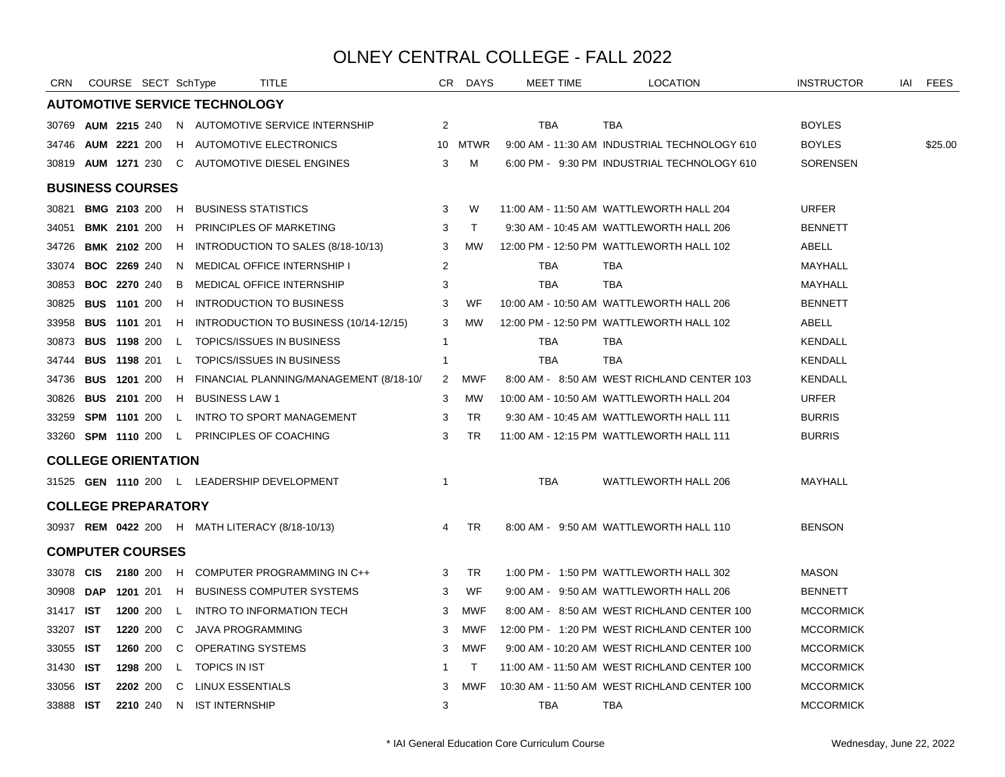| <b>CRN</b>                 |            | COURSE SECT SchType   |              |                                      | <b>TITLE</b>                                        |              | CR DAYS      | MEET TIME  | LOCATION                                     | <b>INSTRUCTOR</b> | IAI | FEES    |
|----------------------------|------------|-----------------------|--------------|--------------------------------------|-----------------------------------------------------|--------------|--------------|------------|----------------------------------------------|-------------------|-----|---------|
|                            |            |                       |              | <b>AUTOMOTIVE SERVICE TECHNOLOGY</b> |                                                     |              |              |            |                                              |                   |     |         |
| 30769                      |            |                       |              |                                      | <b>AUM 2215 240 N AUTOMOTIVE SERVICE INTERNSHIP</b> | 2            |              | <b>TBA</b> | <b>TBA</b>                                   | <b>BOYLES</b>     |     |         |
| 34746                      |            | <b>AUM 2221 200</b>   |              |                                      | H AUTOMOTIVE ELECTRONICS                            |              | 10 MTWR      |            | 9:00 AM - 11:30 AM INDUSTRIAL TECHNOLOGY 610 | <b>BOYLES</b>     |     | \$25.00 |
|                            |            |                       |              |                                      | 30819 AUM 1271 230 C AUTOMOTIVE DIESEL ENGINES      | 3            | M            |            | 6:00 PM - 9:30 PM INDUSTRIAL TECHNOLOGY 610  | <b>SORENSEN</b>   |     |         |
| <b>BUSINESS COURSES</b>    |            |                       |              |                                      |                                                     |              |              |            |                                              |                   |     |         |
| 30821                      |            | <b>BMG 2103 200 H</b> |              | <b>BUSINESS STATISTICS</b>           |                                                     | 3            | W            |            | 11:00 AM - 11:50 AM WATTLEWORTH HALL 204     | <b>URFER</b>      |     |         |
| 34051                      |            | <b>BMK 2101 200</b>   | H.           |                                      | <b>PRINCIPLES OF MARKETING</b>                      | 3            | $\mathsf{T}$ |            | 9:30 AM - 10:45 AM WATTLEWORTH HALL 206      | <b>BENNETT</b>    |     |         |
| 34726                      |            | <b>BMK 2102 200</b>   |              |                                      | H INTRODUCTION TO SALES (8/18-10/13)                | 3            | <b>MW</b>    |            | 12:00 PM - 12:50 PM WATTLEWORTH HALL 102     | ABELL             |     |         |
| 33074                      |            | <b>BOC 2269 240</b>   | N.           |                                      | MEDICAL OFFICE INTERNSHIP I                         | 2            |              | TBA        | TBA                                          | MAYHALL           |     |         |
| 30853                      |            | <b>BOC 2270 240</b>   | B            |                                      | MEDICAL OFFICE INTERNSHIP                           | 3            |              | <b>TBA</b> | <b>TBA</b>                                   | MAYHALL           |     |         |
| 30825                      |            | <b>BUS 1101 200</b>   |              |                                      | H INTRODUCTION TO BUSINESS                          | 3            | WF           |            | 10:00 AM - 10:50 AM WATTLEWORTH HALL 206     | <b>BENNETT</b>    |     |         |
| 33958                      |            | <b>BUS 1101 201</b>   |              |                                      | H INTRODUCTION TO BUSINESS (10/14-12/15)            | 3            | MW           |            | 12:00 PM - 12:50 PM WATTLEWORTH HALL 102     | ABELL             |     |         |
| 30873                      |            | <b>BUS 1198 200</b>   |              |                                      | L TOPICS/ISSUES IN BUSINESS                         | $\mathbf{1}$ |              | TBA        | TBA                                          | <b>KENDALL</b>    |     |         |
| 34744                      |            | <b>BUS 1198 201</b>   |              |                                      | L TOPICS/ISSUES IN BUSINESS                         | -1           |              | <b>TBA</b> | <b>TBA</b>                                   | KENDALL           |     |         |
| 34736                      |            | <b>BUS 1201 200</b>   |              |                                      | H FINANCIAL PLANNING/MANAGEMENT (8/18-10/           | 2            | MWF          |            | 8:00 AM - 8:50 AM WEST RICHLAND CENTER 103   | KENDALL           |     |         |
| 30826                      |            | <b>BUS 2101 200</b>   | H            | <b>BUSINESS LAW 1</b>                |                                                     | 3            | MW           |            | 10:00 AM - 10:50 AM WATTLEWORTH HALL 204     | <b>URFER</b>      |     |         |
| 33259                      |            | <b>SPM 1101 200</b>   |              |                                      | L INTRO TO SPORT MANAGEMENT                         | 3            | <b>TR</b>    |            | 9:30 AM - 10:45 AM WATTLEWORTH HALL 111      | <b>BURRIS</b>     |     |         |
| 33260                      |            |                       |              |                                      | <b>SPM 1110 200 L PRINCIPLES OF COACHING</b>        | 3            | TR.          |            | 11:00 AM - 12:15 PM WATTLEWORTH HALL 111     | <b>BURRIS</b>     |     |         |
| <b>COLLEGE ORIENTATION</b> |            |                       |              |                                      |                                                     |              |              |            |                                              |                   |     |         |
|                            |            |                       |              |                                      | 31525 GEN 1110 200 L LEADERSHIP DEVELOPMENT         | $\mathbf{1}$ |              | TBA        | WATTLEWORTH HALL 206                         | MAYHALL           |     |         |
| <b>COLLEGE PREPARATORY</b> |            |                       |              |                                      |                                                     |              |              |            |                                              |                   |     |         |
|                            |            |                       |              |                                      | 30937 REM 0422 200 H MATH LITERACY (8/18-10/13)     | 4            | TR           |            | 8:00 AM - 9:50 AM WATTLEWORTH HALL 110       | <b>BENSON</b>     |     |         |
| <b>COMPUTER COURSES</b>    |            |                       |              |                                      |                                                     |              |              |            |                                              |                   |     |         |
| 33078                      | <b>CIS</b> |                       |              |                                      | 2180 200 H COMPUTER PROGRAMMING IN C++              | 3            | <b>TR</b>    |            | 1:00 PM - 1:50 PM WATTLEWORTH HALL 302       | <b>MASON</b>      |     |         |
| 30908                      | <b>DAP</b> | 1201 201              | H            |                                      | <b>BUSINESS COMPUTER SYSTEMS</b>                    | 3            | WF           |            | 9:00 AM - 9:50 AM WATTLEWORTH HALL 206       | <b>BENNETT</b>    |     |         |
| 31417                      | <b>IST</b> | 1200 200              | $\mathsf{L}$ |                                      | INTRO TO INFORMATION TECH                           | 3            | <b>MWF</b>   |            | 8:00 AM - 8:50 AM WEST RICHLAND CENTER 100   | <b>MCCORMICK</b>  |     |         |
| 33207                      | IST        | 1220 200              | C            | JAVA PROGRAMMING                     |                                                     | 3            | MWF          |            | 12:00 PM - 1:20 PM WEST RICHLAND CENTER 100  | <b>MCCORMICK</b>  |     |         |
| 33055                      | IST        | 1260 200              | C            | OPERATING SYSTEMS                    |                                                     | 3            | MWF          |            | 9:00 AM - 10:20 AM WEST RICHLAND CENTER 100  | <b>MCCORMICK</b>  |     |         |
| 31430                      | <b>IST</b> | 1298 200              | L.           | <b>TOPICS IN IST</b>                 |                                                     | -1           | $\top$       |            | 11:00 AM - 11:50 AM WEST RICHLAND CENTER 100 | <b>MCCORMICK</b>  |     |         |
| 33056                      | IST        | 2202 200              | C.           | LINUX ESSENTIALS                     |                                                     | 3            | <b>MWF</b>   |            | 10:30 AM - 11:50 AM WEST RICHLAND CENTER 100 | <b>MCCORMICK</b>  |     |         |
| 33888 IST                  |            | 2210 240              | N.           | <b>IST INTERNSHIP</b>                |                                                     | 3            |              | TBA        | TBA                                          | <b>MCCORMICK</b>  |     |         |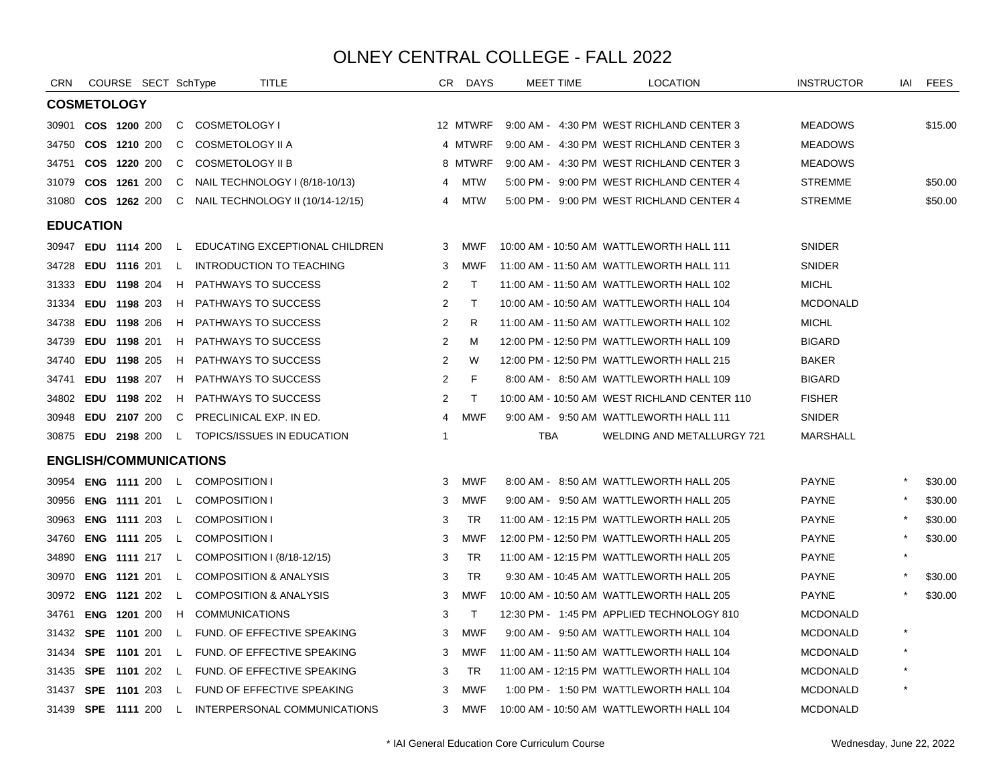| <b>CRN</b>       | COURSE SECT SchType           |              | TITLE                                             |                | CR DAYS      | <b>MEET TIME</b> | <b>LOCATION</b>                              | <b>INSTRUCTOR</b> | IAI     | FEES    |
|------------------|-------------------------------|--------------|---------------------------------------------------|----------------|--------------|------------------|----------------------------------------------|-------------------|---------|---------|
|                  | <b>COSMETOLOGY</b>            |              |                                                   |                |              |                  |                                              |                   |         |         |
| 30901            | COS 1200 200                  | C.           | COSMETOLOGY I                                     |                | 12 MTWRF     |                  | 9:00 AM - 4:30 PM WEST RICHLAND CENTER 3     | <b>MEADOWS</b>    |         | \$15.00 |
| 34750            | COS 1210 200                  | C            | COSMETOLOGY II A                                  |                | 4 MTWRF      |                  | 9:00 AM - 4:30 PM WEST RICHLAND CENTER 3     | <b>MEADOWS</b>    |         |         |
| 34751            | COS 1220 200                  | C            | <b>COSMETOLOGY II B</b>                           |                | 8 MTWRF      |                  | 9:00 AM - 4:30 PM WEST RICHLAND CENTER 3     | <b>MEADOWS</b>    |         |         |
| 31079            | COS 1261 200                  | C.           | NAIL TECHNOLOGY I (8/18-10/13)                    | 4              | MTW          |                  | 5:00 PM - 9:00 PM WEST RICHLAND CENTER 4     | <b>STREMME</b>    |         | \$50.00 |
| 31080            | COS 1262 200                  |              | C NAIL TECHNOLOGY II (10/14-12/15)                | 4              | MTW          |                  | 5:00 PM - 9:00 PM WEST RICHLAND CENTER 4     | <b>STREMME</b>    |         | \$50.00 |
| <b>EDUCATION</b> |                               |              |                                                   |                |              |                  |                                              |                   |         |         |
|                  | 30947 EDU 1114 200            |              | L EDUCATING EXCEPTIONAL CHILDREN                  | 3              | MWF          |                  | 10:00 AM - 10:50 AM WATTLEWORTH HALL 111     | SNIDER            |         |         |
| 34728            | <b>EDU 1116 201</b>           | $\mathsf{L}$ | <b>INTRODUCTION TO TEACHING</b>                   | 3              | MWF          |                  | 11:00 AM - 11:50 AM WATTLEWORTH HALL 111     | <b>SNIDER</b>     |         |         |
| 31333            | EDU 1198 204                  |              | H PATHWAYS TO SUCCESS                             | 2              | $\mathsf{T}$ |                  | 11:00 AM - 11:50 AM WATTLEWORTH HALL 102     | <b>MICHL</b>      |         |         |
| 31334            | EDU 1198 203                  |              | H PATHWAYS TO SUCCESS                             | 2              | $\top$       |                  | 10:00 AM - 10:50 AM WATTLEWORTH HALL 104     | <b>MCDONALD</b>   |         |         |
| 34738            | EDU 1198 206                  |              | H PATHWAYS TO SUCCESS                             | 2              | R            |                  | 11:00 AM - 11:50 AM WATTLEWORTH HALL 102     | <b>MICHL</b>      |         |         |
| 34739            | EDU 1198 201                  |              | H PATHWAYS TO SUCCESS                             | 2              | M            |                  | 12:00 PM - 12:50 PM WATTLEWORTH HALL 109     | <b>BIGARD</b>     |         |         |
| 34740            | EDU 1198 205                  |              | H PATHWAYS TO SUCCESS                             | 2              | W            |                  | 12:00 PM - 12:50 PM WATTLEWORTH HALL 215     | <b>BAKER</b>      |         |         |
| 34741            | EDU 1198 207                  |              | H PATHWAYS TO SUCCESS                             | 2              | F            |                  | 8:00 AM - 8:50 AM WATTLEWORTH HALL 109       | <b>BIGARD</b>     |         |         |
| 34802            | EDU 1198 202                  | H.           | <b>PATHWAYS TO SUCCESS</b>                        | 2              | $\mathsf{T}$ |                  | 10:00 AM - 10:50 AM WEST RICHLAND CENTER 110 | <b>FISHER</b>     |         |         |
| 30948            | EDU 2107 200                  | C.           | PRECLINICAL EXP. IN ED.                           | $\overline{4}$ | <b>MWF</b>   |                  | 9:00 AM - 9:50 AM WATTLEWORTH HALL 111       | <b>SNIDER</b>     |         |         |
|                  | 30875 EDU 2198 200            |              | L TOPICS/ISSUES IN EDUCATION                      | $\mathbf{1}$   |              | TBA              | WELDING AND METALLURGY 721                   | <b>MARSHALL</b>   |         |         |
|                  | <b>ENGLISH/COMMUNICATIONS</b> |              |                                                   |                |              |                  |                                              |                   |         |         |
| 30954            |                               |              | <b>ENG 1111 200 L COMPOSITION I</b>               | 3              | MWF          |                  | 8:00 AM - 8:50 AM WATTLEWORTH HALL 205       | <b>PAYNE</b>      |         | \$30.00 |
| 30956            | <b>ENG 1111 201</b>           |              | L COMPOSITION I                                   | 3              | <b>MWF</b>   |                  | 9:00 AM - 9:50 AM WATTLEWORTH HALL 205       | <b>PAYNE</b>      |         | \$30.00 |
| 30963            | <b>ENG 1111 203</b>           | $\mathsf{L}$ | <b>COMPOSITION I</b>                              | 3              | <b>TR</b>    |                  | 11:00 AM - 12:15 PM WATTLEWORTH HALL 205     | <b>PAYNE</b>      |         | \$30.00 |
| 34760            | <b>ENG 1111 205</b>           | $\mathsf{L}$ | <b>COMPOSITION I</b>                              | 3              | <b>MWF</b>   |                  | 12:00 PM - 12:50 PM WATTLEWORTH HALL 205     | <b>PAYNE</b>      |         | \$30.00 |
| 34890            |                               |              | <b>ENG 1111</b> 217 L COMPOSITION I (8/18-12/15)  | 3              | <b>TR</b>    |                  | 11:00 AM - 12:15 PM WATTLEWORTH HALL 205     | <b>PAYNE</b>      |         |         |
| 30970            | <b>ENG 1121 201 L</b>         |              | <b>COMPOSITION &amp; ANALYSIS</b>                 | 3              | <b>TR</b>    |                  | 9:30 AM - 10:45 AM WATTLEWORTH HALL 205      | <b>PAYNE</b>      |         | \$30.00 |
| 30972            | <b>ENG 1121 202</b>           | $\mathsf{L}$ | <b>COMPOSITION &amp; ANALYSIS</b>                 | 3              | MWF          |                  | 10:00 AM - 10:50 AM WATTLEWORTH HALL 205     | <b>PAYNE</b>      |         | \$30.00 |
| 34761            | <b>ENG 1201 200</b>           |              | H COMMUNICATIONS                                  | 3              | $\mathsf{T}$ |                  | 12:30 PM - 1:45 PM APPLIED TECHNOLOGY 810    | <b>MCDONALD</b>   |         |         |
| 31432            | <b>SPE 1101 200</b>           |              | L FUND. OF EFFECTIVE SPEAKING                     | 3              | <b>MWF</b>   |                  | 9:00 AM - 9:50 AM WATTLEWORTH HALL 104       | <b>MCDONALD</b>   | $\star$ |         |
| 31434            |                               |              | SPE 1101 201 L FUND. OF EFFECTIVE SPEAKING        | 3              | MWF          |                  | 11:00 AM - 11:50 AM WATTLEWORTH HALL 104     | <b>MCDONALD</b>   |         |         |
| 31435            |                               |              | <b>SPE 1101 202 L FUND. OF EFFECTIVE SPEAKING</b> | 3              | <b>TR</b>    |                  | 11:00 AM - 12:15 PM WATTLEWORTH HALL 104     | <b>MCDONALD</b>   |         |         |
| 31437            | <b>SPE 1101 203</b>           |              | L FUND OF EFFECTIVE SPEAKING                      | 3              | MWF          |                  | 1:00 PM - 1:50 PM WATTLEWORTH HALL 104       | <b>MCDONALD</b>   |         |         |
|                  |                               |              | 31439 SPE 1111 200 L INTERPERSONAL COMMUNICATIONS | 3              | MWF          |                  | 10:00 AM - 10:50 AM WATTLEWORTH HALL 104     | <b>MCDONALD</b>   |         |         |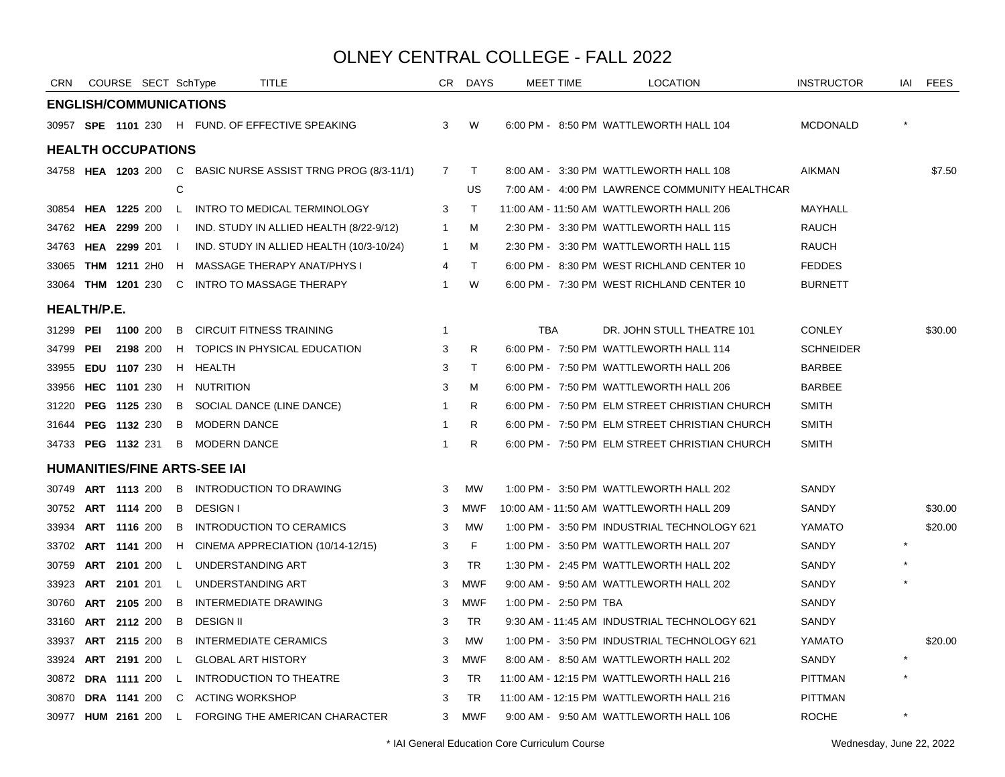| <b>CRN</b>         |            | COURSE SECT SchType           |                |                                     | TITLE                                                               |                | CR DAYS      |                       | <b>MEET TIME</b> | <b>LOCATION</b>                                | <b>INSTRUCTOR</b> | IAI | <b>FEES</b> |
|--------------------|------------|-------------------------------|----------------|-------------------------------------|---------------------------------------------------------------------|----------------|--------------|-----------------------|------------------|------------------------------------------------|-------------------|-----|-------------|
|                    |            | <b>ENGLISH/COMMUNICATIONS</b> |                |                                     |                                                                     |                |              |                       |                  |                                                |                   |     |             |
|                    |            |                               |                |                                     | 30957 SPE 1101 230 H FUND. OF EFFECTIVE SPEAKING                    | 3              | W            |                       |                  | 6:00 PM - 8:50 PM WATTLEWORTH HALL 104         | <b>MCDONALD</b>   |     |             |
|                    |            | <b>HEALTH OCCUPATIONS</b>     |                |                                     |                                                                     |                |              |                       |                  |                                                |                   |     |             |
|                    |            |                               |                |                                     | 34758 <b>HEA 1203</b> 200 C BASIC NURSE ASSIST TRNG PROG (8/3-11/1) | $\overline{7}$ | $\top$       |                       |                  | 8:00 AM - 3:30 PM WATTLEWORTH HALL 108         | <b>AIKMAN</b>     |     | \$7.50      |
|                    |            |                               | C              |                                     |                                                                     |                | US           |                       |                  | 7:00 AM - 4:00 PM LAWRENCE COMMUNITY HEALTHCAR |                   |     |             |
|                    |            | 30854 HEA 1225 200            |                |                                     | L INTRO TO MEDICAL TERMINOLOGY                                      | 3              | $\top$       |                       |                  | 11:00 AM - 11:50 AM WATTLEWORTH HALL 206       | MAYHALL           |     |             |
|                    |            | 34762 HEA 2299 200            |                |                                     | IND. STUDY IN ALLIED HEALTH (8/22-9/12)                             | $\overline{1}$ | M            |                       |                  | 2:30 PM - 3:30 PM WATTLEWORTH HALL 115         | <b>RAUCH</b>      |     |             |
| 34763              |            | <b>HEA 2299 201 I</b>         |                |                                     | IND. STUDY IN ALLIED HEALTH (10/3-10/24)                            | -1             | M            |                       |                  | 2:30 PM - 3:30 PM WATTLEWORTH HALL 115         | RAUCH             |     |             |
| 33065              |            | <b>THM 1211</b> 2H0           | H              |                                     | MASSAGE THERAPY ANAT/PHYS I                                         | 4              | $\top$       |                       |                  | 6:00 PM - 8:30 PM WEST RICHLAND CENTER 10      | <b>FEDDES</b>     |     |             |
| 33064              |            | <b>THM 1201 230</b>           |                |                                     | C INTRO TO MASSAGE THERAPY                                          | $\mathbf{1}$   | W            |                       |                  | 6:00 PM - 7:30 PM WEST RICHLAND CENTER 10      | <b>BURNETT</b>    |     |             |
| <b>HEALTH/P.E.</b> |            |                               |                |                                     |                                                                     |                |              |                       |                  |                                                |                   |     |             |
| 31299 PEI          |            | 1100 200                      | B.             |                                     | <b>CIRCUIT FITNESS TRAINING</b>                                     | $\overline{1}$ |              | <b>TBA</b>            |                  | DR. JOHN STULL THEATRE 101                     | <b>CONLEY</b>     |     | \$30.00     |
| 34799              | <b>PEI</b> | 2198 200                      |                |                                     | H TOPICS IN PHYSICAL EDUCATION                                      | 3              | R.           |                       |                  | 6:00 PM - 7:50 PM WATTLEWORTH HALL 114         | <b>SCHNEIDER</b>  |     |             |
| 33955              |            | EDU 1107 230                  |                | H HEALTH                            |                                                                     | 3              | $\mathsf{T}$ |                       |                  | 6:00 PM - 7:50 PM WATTLEWORTH HALL 206         | <b>BARBEE</b>     |     |             |
|                    |            | 33956 HEC 1101 230            |                | H NUTRITION                         |                                                                     | 3              | м            |                       |                  | 6:00 PM - 7:50 PM WATTLEWORTH HALL 206         | <b>BARBEE</b>     |     |             |
| 31220              |            | <b>PEG 1125 230</b>           | B              |                                     | SOCIAL DANCE (LINE DANCE)                                           | $\overline{1}$ | R            |                       |                  | 6:00 PM - 7:50 PM ELM STREET CHRISTIAN CHURCH  | <b>SMITH</b>      |     |             |
| 31644              |            | PEG 1132 230                  | B              | <b>MODERN DANCE</b>                 |                                                                     | $\mathbf{1}$   | R            |                       |                  | 6:00 PM - 7:50 PM ELM STREET CHRISTIAN CHURCH  | <b>SMITH</b>      |     |             |
|                    |            | 34733 PEG 1132 231            | B              | <b>MODERN DANCE</b>                 |                                                                     | $\mathbf{1}$   | R            |                       |                  | 6:00 PM - 7:50 PM ELM STREET CHRISTIAN CHURCH  | <b>SMITH</b>      |     |             |
|                    |            |                               |                | <b>HUMANITIES/FINE ARTS-SEE IAI</b> |                                                                     |                |              |                       |                  |                                                |                   |     |             |
| 30749              |            | <b>ART 1113 200</b>           | $\overline{B}$ |                                     | INTRODUCTION TO DRAWING                                             | 3              | <b>MW</b>    |                       |                  | 1:00 PM - 3:50 PM WATTLEWORTH HALL 202         | SANDY             |     |             |
|                    |            | 30752 ART 1114 200            | B              | <b>DESIGN I</b>                     |                                                                     | 3              | MWF          |                       |                  | 10:00 AM - 11:50 AM WATTLEWORTH HALL 209       | SANDY             |     | \$30.00     |
| 33934              |            | ART 1116 200                  | B              |                                     | INTRODUCTION TO CERAMICS                                            | 3              | <b>MW</b>    |                       |                  | 1:00 PM - 3:50 PM INDUSTRIAL TECHNOLOGY 621    | YAMATO            |     | \$20.00     |
| 33702              |            | <b>ART 1141 200</b>           |                |                                     | H CINEMA APPRECIATION (10/14-12/15)                                 | 3              | F            |                       |                  | 1:00 PM - 3:50 PM WATTLEWORTH HALL 207         | SANDY             |     |             |
| 30759              |            | ART 2101 200                  | $\mathsf{L}$   | UNDERSTANDING ART                   |                                                                     | 3              | TR           |                       |                  | 1:30 PM - 2:45 PM WATTLEWORTH HALL 202         | SANDY             |     |             |
| 33923              |            | ART 2101 201                  | $\mathsf{L}$   | UNDERSTANDING ART                   |                                                                     | 3              | <b>MWF</b>   |                       |                  | 9:00 AM - 9:50 AM WATTLEWORTH HALL 202         | SANDY             |     |             |
| 30760              |            | ART 2105 200                  | B              |                                     | <b>INTERMEDIATE DRAWING</b>                                         | 3              | <b>MWF</b>   | 1:00 PM - 2:50 PM TBA |                  |                                                | SANDY             |     |             |
| 33160              |            | <b>ART 2112</b> 200           | B              | <b>DESIGN II</b>                    |                                                                     | 3              | <b>TR</b>    |                       |                  | 9:30 AM - 11:45 AM INDUSTRIAL TECHNOLOGY 621   | SANDY             |     |             |
| 33937              |            | ART 2115 200                  | B              |                                     | INTERMEDIATE CERAMICS                                               | 3              | MW           |                       |                  | 1:00 PM - 3:50 PM INDUSTRIAL TECHNOLOGY 621    | YAMATO            |     | \$20.00     |
| 33924              |            | ART 2191 200                  | L.             | <b>GLOBAL ART HISTORY</b>           |                                                                     | 3              | MWF          |                       |                  | 8:00 AM - 8:50 AM WATTLEWORTH HALL 202         | SANDY             |     |             |
|                    |            | 30872 DRA 1111 200            | $\mathsf{L}$   |                                     | INTRODUCTION TO THEATRE                                             | 3              | <b>TR</b>    |                       |                  | 11:00 AM - 12:15 PM WATTLEWORTH HALL 216       | <b>PITTMAN</b>    |     |             |
| 30870              |            | DRA 1141 200                  | C              | <b>ACTING WORKSHOP</b>              |                                                                     | 3              | <b>TR</b>    |                       |                  | 11:00 AM - 12:15 PM WATTLEWORTH HALL 216       | <b>PITTMAN</b>    |     |             |
|                    |            | 30977 HUM 2161 200            | $\mathsf{L}$   |                                     | <b>FORGING THE AMERICAN CHARACTER</b>                               | 3              | <b>MWF</b>   |                       |                  | 9:00 AM - 9:50 AM WATTLEWORTH HALL 106         | <b>ROCHE</b>      |     |             |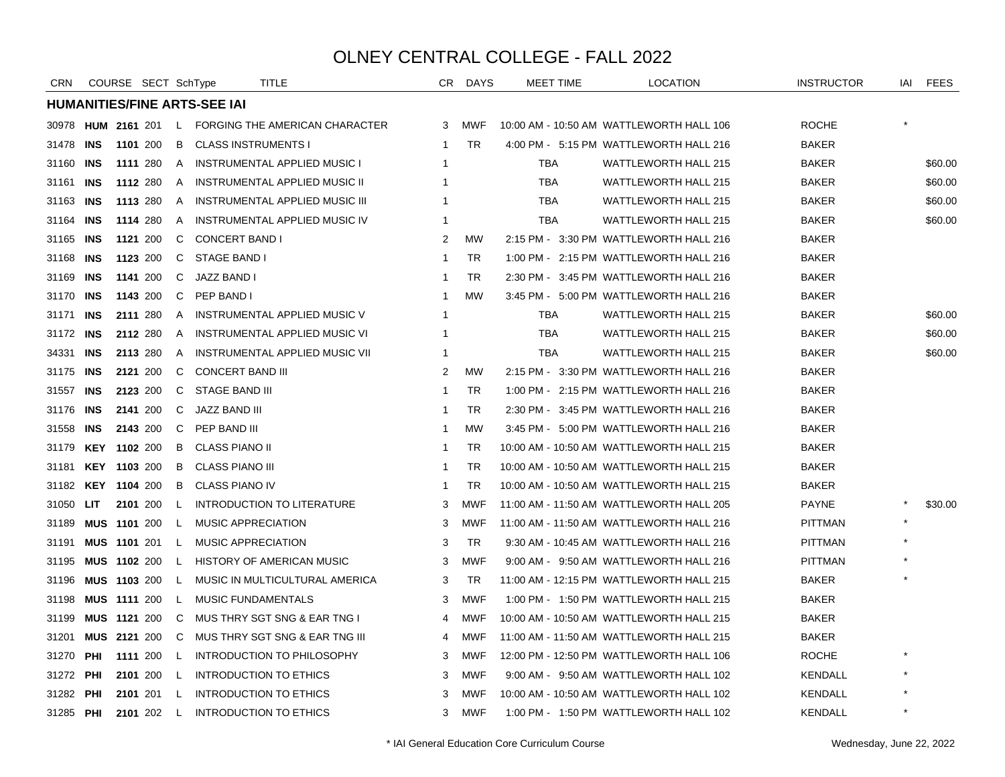| CRN       |            | COURSE SECT SchType |      |              |                                     | TITLE                                                | CR. | DAYS       | <b>MEET TIME</b> | <b>LOCATION</b>                          | <b>INSTRUCTOR</b> |         | IAI FEES |
|-----------|------------|---------------------|------|--------------|-------------------------------------|------------------------------------------------------|-----|------------|------------------|------------------------------------------|-------------------|---------|----------|
|           |            |                     |      |              | <b>HUMANITIES/FINE ARTS-SEE IAI</b> |                                                      |     |            |                  |                                          |                   |         |          |
| 30978     |            |                     |      |              |                                     | <b>HUM 2161 201 L FORGING THE AMERICAN CHARACTER</b> | 3   | <b>MWF</b> |                  | 10:00 AM - 10:50 AM WATTLEWORTH HALL 106 | <b>ROCHE</b>      |         |          |
| 31478     | <b>INS</b> | 1101 200            |      | B            | <b>CLASS INSTRUMENTS I</b>          |                                                      | -1  | <b>TR</b>  |                  | 4:00 PM - 5:15 PM WATTLEWORTH HALL 216   | <b>BAKER</b>      |         |          |
| 31160     | INS        | 1111 280            |      | A            |                                     | <b>INSTRUMENTAL APPLIED MUSIC I</b>                  | -1  |            | TBA              | <b>WATTLEWORTH HALL 215</b>              | <b>BAKER</b>      |         | \$60.00  |
| 31161     | INS        | 1112 280            |      | A            |                                     | INSTRUMENTAL APPLIED MUSIC II                        |     |            | <b>TBA</b>       | <b>WATTLEWORTH HALL 215</b>              | <b>BAKER</b>      |         | \$60.00  |
| 31163     | INS        | 1113 280            |      | A            |                                     | INSTRUMENTAL APPLIED MUSIC III                       |     |            | <b>TBA</b>       | <b>WATTLEWORTH HALL 215</b>              | <b>BAKER</b>      |         | \$60.00  |
| 31164     | <b>INS</b> | 1114 280            |      | A            |                                     | INSTRUMENTAL APPLIED MUSIC IV                        | -1  |            | <b>TBA</b>       | <b>WATTLEWORTH HALL 215</b>              | <b>BAKER</b>      |         | \$60.00  |
| 31165     | INS        | 1121 200            |      | C            | <b>CONCERT BAND I</b>               |                                                      | 2   | <b>MW</b>  |                  | 2:15 PM - 3:30 PM WATTLEWORTH HALL 216   | <b>BAKER</b>      |         |          |
| 31168     | INS        | 1123 200            |      | C.           | STAGE BAND I                        |                                                      | -1  | <b>TR</b>  |                  | 1:00 PM - 2:15 PM WATTLEWORTH HALL 216   | <b>BAKER</b>      |         |          |
| 31169     | INS        | 1141 200            |      | C            | JAZZ BAND I                         |                                                      | -1  | <b>TR</b>  |                  | 2:30 PM - 3:45 PM WATTLEWORTH HALL 216   | <b>BAKER</b>      |         |          |
| 31170     | <b>INS</b> | 1143 200            |      | C            | PEP BAND I                          |                                                      | -1  | <b>MW</b>  |                  | 3:45 PM - 5:00 PM WATTLEWORTH HALL 216   | <b>BAKER</b>      |         |          |
| 31171     | INS        | 2111 280            |      | A            |                                     | INSTRUMENTAL APPLIED MUSIC V                         | -1  |            | TBA              | WATTLEWORTH HALL 215                     | <b>BAKER</b>      |         | \$60.00  |
| 31172 INS |            | 2112 280            |      | $\mathsf{A}$ |                                     | INSTRUMENTAL APPLIED MUSIC VI                        | -1  |            | <b>TBA</b>       | <b>WATTLEWORTH HALL 215</b>              | <b>BAKER</b>      |         | \$60.00  |
| 34331     | INS        | 2113 280            |      | $\mathsf{A}$ |                                     | INSTRUMENTAL APPLIED MUSIC VII                       | -1  |            | TBA              | <b>WATTLEWORTH HALL 215</b>              | <b>BAKER</b>      |         | \$60.00  |
| 31175     | INS        | 2121 200            |      | C            | <b>CONCERT BAND III</b>             |                                                      | 2   | <b>MW</b>  |                  | 2:15 PM - 3:30 PM WATTLEWORTH HALL 216   | <b>BAKER</b>      |         |          |
| 31557     | <b>INS</b> | 2123 200            |      | C            | <b>STAGE BAND III</b>               |                                                      | -1  | <b>TR</b>  |                  | 1:00 PM - 2:15 PM WATTLEWORTH HALL 216   | <b>BAKER</b>      |         |          |
| 31176     | <b>INS</b> | 2141 200            |      | C            | JAZZ BAND III                       |                                                      | -1  | <b>TR</b>  |                  | 2:30 PM - 3:45 PM WATTLEWORTH HALL 216   | <b>BAKER</b>      |         |          |
| 31558     | <b>INS</b> | 2143 200            |      | C            | PEP BAND III                        |                                                      | -1  | <b>MW</b>  |                  | 3:45 PM - 5:00 PM WATTLEWORTH HALL 216   | <b>BAKER</b>      |         |          |
| 31179     |            | <b>KEY 1102 200</b> |      | B            | <b>CLASS PIANO II</b>               |                                                      | -1  | <b>TR</b>  |                  | 10:00 AM - 10:50 AM WATTLEWORTH HALL 215 | <b>BAKER</b>      |         |          |
| 31181     |            | KEY 1103 200        |      | B.           | CLASS PIANO III                     |                                                      | -1  | <b>TR</b>  |                  | 10:00 AM - 10:50 AM WATTLEWORTH HALL 215 | <b>BAKER</b>      |         |          |
| 31182     |            | <b>KEY 1104 200</b> |      | B            | <b>CLASS PIANO IV</b>               |                                                      | -1  | TR         |                  | 10:00 AM - 10:50 AM WATTLEWORTH HALL 215 | <b>BAKER</b>      |         |          |
| 31050     | LIT        | 2101 200            |      | L.           |                                     | <b>INTRODUCTION TO LITERATURE</b>                    | 3   | MWF        |                  | 11:00 AM - 11:50 AM WATTLEWORTH HALL 205 | <b>PAYNE</b>      |         | \$30.00  |
| 31189     |            | <b>MUS 1101 200</b> |      | L.           | <b>MUSIC APPRECIATION</b>           |                                                      | 3   | <b>MWF</b> |                  | 11:00 AM - 11:50 AM WATTLEWORTH HALL 216 | <b>PITTMAN</b>    |         |          |
| 31191     |            | <b>MUS 1101 201</b> |      | $\mathsf{L}$ | <b>MUSIC APPRECIATION</b>           |                                                      | 3   | <b>TR</b>  |                  | 9:30 AM - 10:45 AM WATTLEWORTH HALL 216  | <b>PITTMAN</b>    |         |          |
| 31195     |            | MUS 1102 200        |      | L.           |                                     | HISTORY OF AMERICAN MUSIC                            | 3   | <b>MWF</b> |                  | 9:00 AM - 9:50 AM WATTLEWORTH HALL 216   | <b>PITTMAN</b>    |         |          |
| 31196     |            | <b>MUS 1103 200</b> |      | L.           |                                     | MUSIC IN MULTICULTURAL AMERICA                       | 3   | <b>TR</b>  |                  | 11:00 AM - 12:15 PM WATTLEWORTH HALL 215 | <b>BAKER</b>      |         |          |
| 31198     |            | MUS 1111 200        |      | L.           | <b>MUSIC FUNDAMENTALS</b>           |                                                      | 3   | <b>MWF</b> |                  | 1:00 PM - 1:50 PM WATTLEWORTH HALL 215   | <b>BAKER</b>      |         |          |
| 31199     |            | <b>MUS 1121 200</b> |      | C.           |                                     | MUS THRY SGT SNG & EAR TNG I                         | 4   | MWF        |                  | 10:00 AM - 10:50 AM WATTLEWORTH HALL 215 | <b>BAKER</b>      |         |          |
| 31201     |            | <b>MUS 2121 200</b> |      | C            |                                     | MUS THRY SGT SNG & EAR TNG III                       | 4   | MWF        |                  | 11:00 AM - 11:50 AM WATTLEWORTH HALL 215 | <b>BAKER</b>      |         |          |
| 31270     | PHI        | 1111 200            |      | L.           |                                     | INTRODUCTION TO PHILOSOPHY                           | 3   | <b>MWF</b> |                  | 12:00 PM - 12:50 PM WATTLEWORTH HALL 106 | <b>ROCHE</b>      |         |          |
| 31272     | <b>PHI</b> | 2101 200            |      | $\mathsf{L}$ |                                     | <b>INTRODUCTION TO ETHICS</b>                        | 3   | <b>MWF</b> |                  | 9:00 AM - 9:50 AM WATTLEWORTH HALL 102   | <b>KENDALL</b>    |         |          |
| 31282     | PHI        | 2101 201            |      | L.           |                                     | INTRODUCTION TO ETHICS                               | 3   | MWF        |                  | 10:00 AM - 10:50 AM WATTLEWORTH HALL 102 | <b>KENDALL</b>    |         |          |
| 31285 PHI |            | 2101 202            | - Li |              |                                     | <b>INTRODUCTION TO ETHICS</b>                        | 3   | <b>MWF</b> |                  | 1:00 PM - 1:50 PM WATTLEWORTH HALL 102   | KENDALL           | $\star$ |          |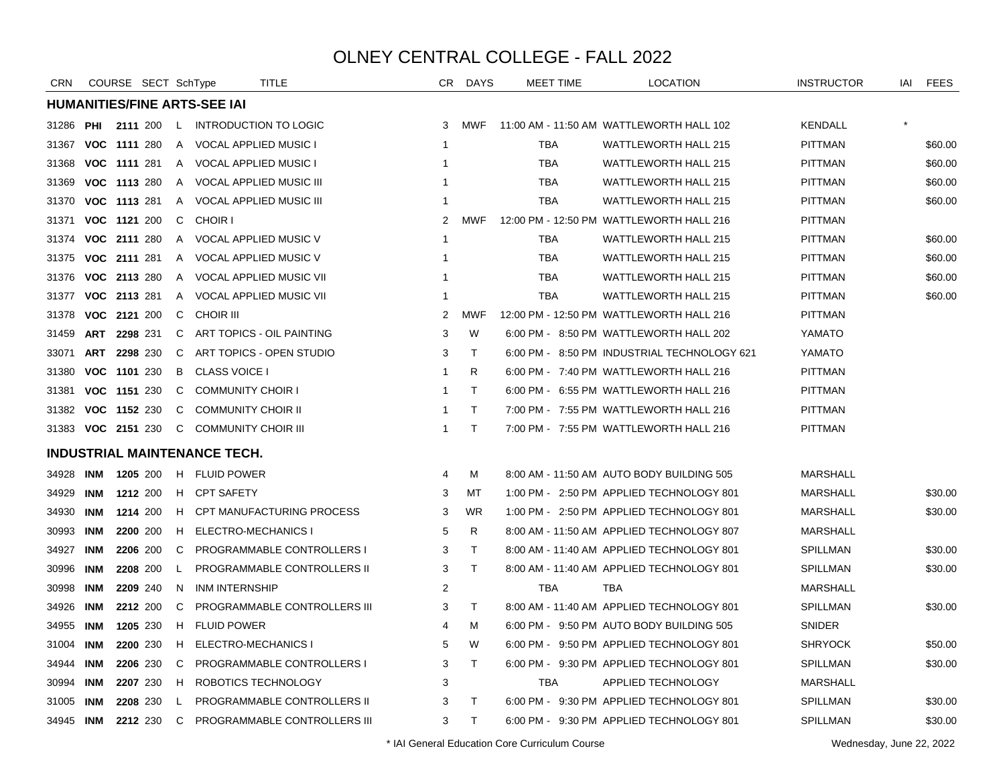| <b>CRN</b> |            | COURSE SECT SchType |              | TITLE                               |                         | CR DAYS      | <b>MEET TIME</b> | LOCATION                                    | <b>INSTRUCTOR</b> | IAI | FEES    |
|------------|------------|---------------------|--------------|-------------------------------------|-------------------------|--------------|------------------|---------------------------------------------|-------------------|-----|---------|
|            |            |                     |              | <b>HUMANITIES/FINE ARTS-SEE IAI</b> |                         |              |                  |                                             |                   |     |         |
| 31286      |            | <b>PHI 2111 200</b> | $\mathsf{L}$ | <b>INTRODUCTION TO LOGIC</b>        | 3                       | <b>MWF</b>   |                  | 11:00 AM - 11:50 AM WATTLEWORTH HALL 102    | <b>KENDALL</b>    |     |         |
| 31367      |            | VOC 1111 280        | $\mathsf{A}$ | <b>VOCAL APPLIED MUSIC I</b>        | -1                      |              | <b>TBA</b>       | <b>WATTLEWORTH HALL 215</b>                 | <b>PITTMAN</b>    |     | \$60.00 |
| 31368      |            | VOC 1111 281        |              | A VOCAL APPLIED MUSIC I             | $\overline{\mathbf{1}}$ |              | <b>TBA</b>       | <b>WATTLEWORTH HALL 215</b>                 | <b>PITTMAN</b>    |     | \$60.00 |
| 31369      |            | VOC 1113 280        | A            | <b>VOCAL APPLIED MUSIC III</b>      | -1                      |              | <b>TBA</b>       | <b>WATTLEWORTH HALL 215</b>                 | PITTMAN           |     | \$60.00 |
| 31370      |            | VOC 1113 281        | A            | <b>VOCAL APPLIED MUSIC III</b>      | -1                      |              | <b>TBA</b>       | <b>WATTLEWORTH HALL 215</b>                 | PITTMAN           |     | \$60.00 |
| 31371      |            | VOC 1121 200        | C            | <b>CHOIR I</b>                      | 2                       | <b>MWF</b>   |                  | 12:00 PM - 12:50 PM WATTLEWORTH HALL 216    | PITTMAN           |     |         |
| 31374      |            | VOC 2111 280        | A            | VOCAL APPLIED MUSIC V               | $\mathbf{1}$            |              | TBA              | <b>WATTLEWORTH HALL 215</b>                 | PITTMAN           |     | \$60.00 |
| 31375      |            | VOC 2111 281        | $\mathsf{A}$ | VOCAL APPLIED MUSIC V               | $\mathbf 1$             |              | <b>TBA</b>       | <b>WATTLEWORTH HALL 215</b>                 | PITTMAN           |     | \$60.00 |
| 31376      |            | VOC 2113 280        | A            | VOCAL APPLIED MUSIC VII             | $\mathbf 1$             |              | <b>TBA</b>       | <b>WATTLEWORTH HALL 215</b>                 | PITTMAN           |     | \$60.00 |
| 31377      |            | VOC 2113 281        | A            | VOCAL APPLIED MUSIC VII             | $\mathbf 1$             |              | TBA              | <b>WATTLEWORTH HALL 215</b>                 | PITTMAN           |     | \$60.00 |
| 31378      |            | VOC 2121 200        | C            | <b>CHOIR III</b>                    | 2                       | <b>MWF</b>   |                  | 12:00 PM - 12:50 PM WATTLEWORTH HALL 216    | <b>PITTMAN</b>    |     |         |
| 31459      |            | ART 2298 231        | C.           | ART TOPICS - OIL PAINTING           | 3                       | W            |                  | 6:00 PM - 8:50 PM WATTLEWORTH HALL 202      | YAMATO            |     |         |
| 33071      |            | ART 2298 230        | C            | ART TOPICS - OPEN STUDIO            | 3                       | $\top$       |                  | 6:00 PM - 8:50 PM INDUSTRIAL TECHNOLOGY 621 | YAMATO            |     |         |
| 31380      |            | VOC 1101 230        | B            | <b>CLASS VOICE I</b>                | -1                      | R.           |                  | 6:00 PM - 7:40 PM WATTLEWORTH HALL 216      | <b>PITTMAN</b>    |     |         |
| 31381      |            | VOC 1151 230        | C            | <b>COMMUNITY CHOIR I</b>            | -1                      | T.           |                  | 6:00 PM - 6:55 PM WATTLEWORTH HALL 216      | <b>PITTMAN</b>    |     |         |
| 31382      |            | VOC 1152 230        | C            | <b>COMMUNITY CHOIR II</b>           | -1                      | T.           |                  | 7:00 PM - 7:55 PM WATTLEWORTH HALL 216      | <b>PITTMAN</b>    |     |         |
| 31383      |            | VOC 2151 230        | C            | <b>COMMUNITY CHOIR III</b>          | -1                      | T.           |                  | 7:00 PM - 7:55 PM WATTLEWORTH HALL 216      | PITTMAN           |     |         |
|            |            |                     |              | <b>INDUSTRIAL MAINTENANCE TECH.</b> |                         |              |                  |                                             |                   |     |         |
| 34928      | INM        | 1205 200            |              | H FLUID POWER                       | 4                       | м            |                  | 8:00 AM - 11:50 AM AUTO BODY BUILDING 505   | <b>MARSHALL</b>   |     |         |
| 34929      | <b>INM</b> | 1212 200            |              | H CPT SAFETY                        | 3                       | MT           |                  | 1:00 PM - 2:50 PM APPLIED TECHNOLOGY 801    | <b>MARSHALL</b>   |     | \$30.00 |
| 34930      | INM        | 1214 200            | H            | CPT MANUFACTURING PROCESS           | 3                       | <b>WR</b>    |                  | 1:00 PM - 2:50 PM APPLIED TECHNOLOGY 801    | <b>MARSHALL</b>   |     | \$30.00 |
| 30993      | INM        | 2200 200            | H            | ELECTRO-MECHANICS I                 | 5                       | R            |                  | 8:00 AM - 11:50 AM APPLIED TECHNOLOGY 807   | <b>MARSHALL</b>   |     |         |
| 34927      | <b>INM</b> | 2206 200            | C            | PROGRAMMABLE CONTROLLERS I          | 3                       | $\top$       |                  | 8:00 AM - 11:40 AM APPLIED TECHNOLOGY 801   | SPILLMAN          |     | \$30.00 |
| 30996      | <b>INM</b> | 2208 200            | L.           | PROGRAMMABLE CONTROLLERS II         | 3                       | T.           |                  | 8:00 AM - 11:40 AM APPLIED TECHNOLOGY 801   | SPILLMAN          |     | \$30.00 |
| 30998      | <b>INM</b> | 2209 240            | N            | <b>INM INTERNSHIP</b>               | 2                       |              | <b>TBA</b>       | TBA                                         | MARSHALL          |     |         |
| 34926      | INM        | 2212 200            | C            | PROGRAMMABLE CONTROLLERS III        | 3                       | $\mathsf{T}$ |                  | 8:00 AM - 11:40 AM APPLIED TECHNOLOGY 801   | SPILLMAN          |     | \$30.00 |
| 34955      | INM        | 1205 230            | H            | <b>FLUID POWER</b>                  | 4                       | м            |                  | 6:00 PM - 9:50 PM AUTO BODY BUILDING 505    | <b>SNIDER</b>     |     |         |
| 31004      | INM        | 2200 230            | H            | ELECTRO-MECHANICS I                 | 5                       | W            |                  | 6:00 PM - 9:50 PM APPLIED TECHNOLOGY 801    | <b>SHRYOCK</b>    |     | \$50.00 |
| 34944      | INM        | 2206 230            | C            | PROGRAMMABLE CONTROLLERS I          | 3                       | T.           |                  | 6:00 PM - 9:30 PM APPLIED TECHNOLOGY 801    | SPILLMAN          |     | \$30.00 |
| 30994      | <b>INM</b> | 2207 230            | H            | ROBOTICS TECHNOLOGY                 | 3                       |              | TBA              | APPLIED TECHNOLOGY                          | <b>MARSHALL</b>   |     |         |
| 31005      | INM        | 2208 230            | L            | PROGRAMMABLE CONTROLLERS II         | 3                       | T.           |                  | 6:00 PM - 9:30 PM APPLIED TECHNOLOGY 801    | SPILLMAN          |     | \$30.00 |
| 34945 INM  |            | 2212 230            | C            | <b>PROGRAMMABLE CONTROLLERS III</b> | 3                       | T.           |                  | 6:00 PM - 9:30 PM APPLIED TECHNOLOGY 801    | <b>SPILLMAN</b>   |     | \$30.00 |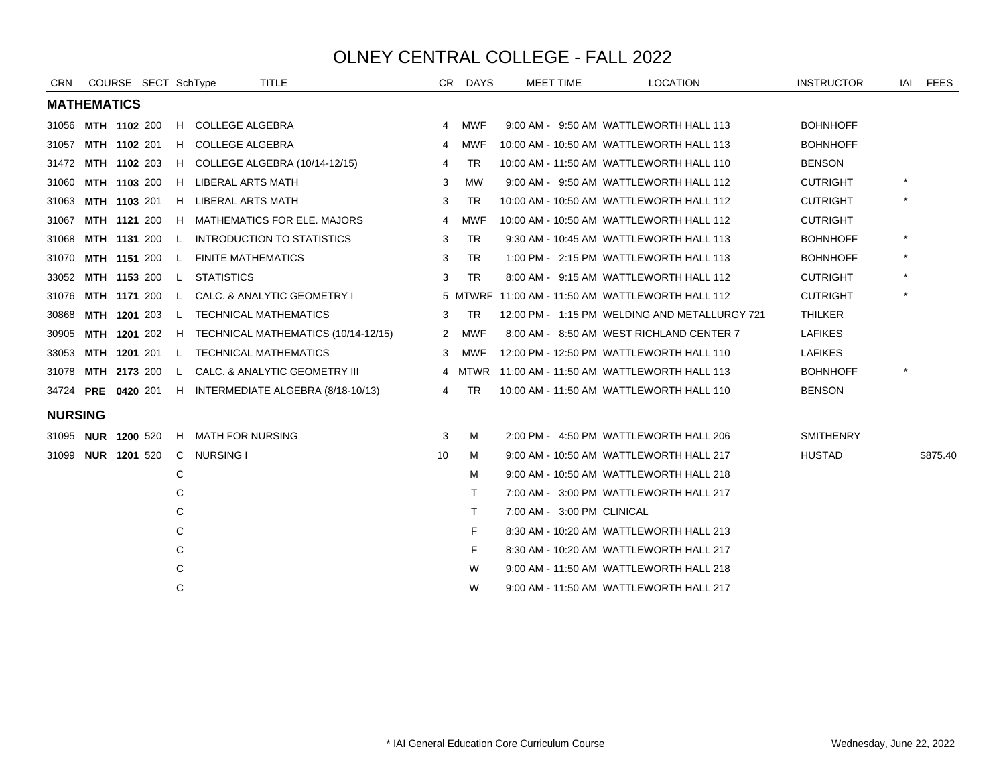| <b>CRN</b>     | COURSE SECT SchType |  |              |                                          | <b>TITLE</b>                                           |    | CR DAYS    | <b>MEET TIME</b>           | <b>LOCATION</b>                                  | <b>INSTRUCTOR</b> | IAI     | <b>FEES</b> |
|----------------|---------------------|--|--------------|------------------------------------------|--------------------------------------------------------|----|------------|----------------------------|--------------------------------------------------|-------------------|---------|-------------|
|                | <b>MATHEMATICS</b>  |  |              |                                          |                                                        |    |            |                            |                                                  |                   |         |             |
|                | 31056 MTH 1102 200  |  |              | H COLLEGE ALGEBRA                        |                                                        | 4  | <b>MWF</b> |                            | 9:00 AM - 9:50 AM WATTLEWORTH HALL 113           | <b>BOHNHOFF</b>   |         |             |
| 31057          | MTH 1102 201        |  |              | H COLLEGE ALGEBRA                        |                                                        | 4  | <b>MWF</b> |                            | 10:00 AM - 10:50 AM WATTLEWORTH HALL 113         | <b>BOHNHOFF</b>   |         |             |
| 31472          | <b>MTH 1102 203</b> |  |              |                                          | H COLLEGE ALGEBRA (10/14-12/15)                        | 4  | TR         |                            | 10:00 AM - 11:50 AM WATTLEWORTH HALL 110         | <b>BENSON</b>     |         |             |
| 31060          | MTH 1103 200        |  |              | H LIBERAL ARTS MATH                      |                                                        | 3  | <b>MW</b>  |                            | 9:00 AM - 9:50 AM WATTLEWORTH HALL 112           | <b>CUTRIGHT</b>   | $\star$ |             |
| 31063          | MTH 1103 201        |  |              | H LIBERAL ARTS MATH                      |                                                        | 3  | <b>TR</b>  |                            | 10:00 AM - 10:50 AM WATTLEWORTH HALL 112         | <b>CUTRIGHT</b>   | $\star$ |             |
| 31067          |                     |  |              |                                          | <b>MTH 1121 200 H MATHEMATICS FOR ELE. MAJORS</b>      | 4  | <b>MWF</b> |                            | 10:00 AM - 10:50 AM WATTLEWORTH HALL 112         | <b>CUTRIGHT</b>   |         |             |
| 31068          |                     |  |              |                                          | MTH 1131 200 L INTRODUCTION TO STATISTICS              | 3  | TR.        |                            | 9:30 AM - 10:45 AM WATTLEWORTH HALL 113          | <b>BOHNHOFF</b>   | $\star$ |             |
| 31070          |                     |  |              | <b>MTH 1151 200 L FINITE MATHEMATICS</b> |                                                        | 3  | TR.        |                            | 1:00 PM - 2:15 PM WATTLEWORTH HALL 113           | <b>BOHNHOFF</b>   | $\star$ |             |
| 33052          |                     |  |              | MTH 1153 200 L STATISTICS                |                                                        | 3  | TR.        |                            | 8:00 AM - 9:15 AM WATTLEWORTH HALL 112           | <b>CUTRIGHT</b>   | $\star$ |             |
| 31076          | <b>MTH 1171 200</b> |  | L.           |                                          | CALC. & ANALYTIC GEOMETRY I                            |    |            |                            | 5 MTWRF 11:00 AM - 11:50 AM WATTLEWORTH HALL 112 | <b>CUTRIGHT</b>   | $\star$ |             |
| 30868          | MTH 1201 203        |  |              |                                          | L TECHNICAL MATHEMATICS                                | 3  | <b>TR</b>  |                            | 12:00 PM - 1:15 PM WELDING AND METALLURGY 721    | <b>THILKER</b>    |         |             |
| 30905          |                     |  |              |                                          | MTH 1201 202 H TECHNICAL MATHEMATICS (10/14-12/15)     | 2  | <b>MWF</b> |                            | 8:00 AM - 8:50 AM WEST RICHLAND CENTER 7         | <b>LAFIKES</b>    |         |             |
| 33053          |                     |  |              |                                          | MTH 1201 201 L TECHNICAL MATHEMATICS                   | 3  | MWF        |                            | 12:00 PM - 12:50 PM WATTLEWORTH HALL 110         | <b>LAFIKES</b>    |         |             |
| 31078          | <b>MTH 2173 200</b> |  | $\mathsf{L}$ |                                          | CALC. & ANALYTIC GEOMETRY III                          | 4  |            |                            | MTWR 11:00 AM - 11:50 AM WATTLEWORTH HALL 113    | <b>BOHNHOFF</b>   | $\star$ |             |
|                |                     |  |              |                                          | 34724 PRE 0420 201 H INTERMEDIATE ALGEBRA (8/18-10/13) | 4  | TR         |                            | 10:00 AM - 11:50 AM WATTLEWORTH HALL 110         | <b>BENSON</b>     |         |             |
| <b>NURSING</b> |                     |  |              |                                          |                                                        |    |            |                            |                                                  |                   |         |             |
| 31095          | <b>NUR 1200 520</b> |  |              | H MATH FOR NURSING                       |                                                        | 3  | М          |                            | 2:00 PM - 4:50 PM WATTLEWORTH HALL 206           | <b>SMITHENRY</b>  |         |             |
|                | 31099 NUR 1201 520  |  |              | C NURSING I                              |                                                        | 10 | м          |                            | 9:00 AM - 10:50 AM WATTLEWORTH HALL 217          | <b>HUSTAD</b>     |         | \$875.40    |
|                |                     |  | C            |                                          |                                                        |    | М          |                            | 9:00 AM - 10:50 AM WATTLEWORTH HALL 218          |                   |         |             |
|                |                     |  | С            |                                          |                                                        |    | T.         |                            | 7:00 AM - 3:00 PM WATTLEWORTH HALL 217           |                   |         |             |
|                |                     |  | C            |                                          |                                                        |    | T.         | 7:00 AM - 3:00 PM CLINICAL |                                                  |                   |         |             |
|                |                     |  | C            |                                          |                                                        |    | F          |                            | 8:30 AM - 10:20 AM WATTLEWORTH HALL 213          |                   |         |             |
|                |                     |  | С            |                                          |                                                        |    | F          |                            | 8:30 AM - 10:20 AM WATTLEWORTH HALL 217          |                   |         |             |
|                |                     |  | C            |                                          |                                                        |    | W          |                            | 9:00 AM - 11:50 AM WATTLEWORTH HALL 218          |                   |         |             |
|                |                     |  | C            |                                          |                                                        |    | W          |                            | 9:00 AM - 11:50 AM WATTLEWORTH HALL 217          |                   |         |             |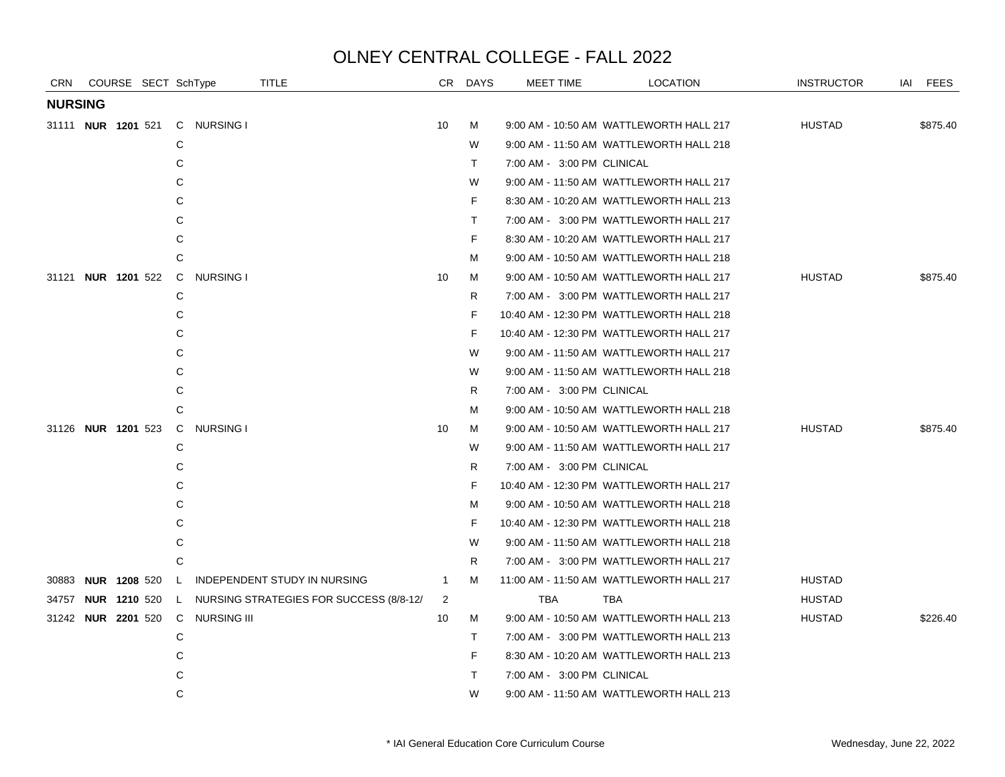| <b>CRN</b>                |  | COURSE SECT SchType              | <b>TITLE</b>                                                 |                | CR DAYS      | MEET TIME                  | <b>LOCATION</b>                          | <b>INSTRUCTOR</b> | IAI FEES |
|---------------------------|--|----------------------------------|--------------------------------------------------------------|----------------|--------------|----------------------------|------------------------------------------|-------------------|----------|
| <b>NURSING</b>            |  |                                  |                                                              |                |              |                            |                                          |                   |          |
| 31111 <b>NUR 1201</b> 521 |  | C NURSING I                      |                                                              | 10             | м            |                            | 9:00 AM - 10:50 AM WATTLEWORTH HALL 217  | <b>HUSTAD</b>     | \$875.40 |
|                           |  | C                                |                                                              |                | W            |                            | 9:00 AM - 11:50 AM WATTLEWORTH HALL 218  |                   |          |
|                           |  | C                                |                                                              |                | $\mathsf{T}$ | 7:00 AM - 3:00 PM CLINICAL |                                          |                   |          |
|                           |  | C                                |                                                              |                | W            |                            | 9:00 AM - 11:50 AM WATTLEWORTH HALL 217  |                   |          |
|                           |  | С                                |                                                              |                | F.           |                            | 8:30 AM - 10:20 AM WATTLEWORTH HALL 213  |                   |          |
|                           |  | C                                |                                                              |                | $\top$       |                            | 7:00 AM - 3:00 PM WATTLEWORTH HALL 217   |                   |          |
|                           |  | С                                |                                                              |                | F            |                            | 8:30 AM - 10:20 AM WATTLEWORTH HALL 217  |                   |          |
|                           |  | C                                |                                                              |                | м            |                            | 9:00 AM - 10:50 AM WATTLEWORTH HALL 218  |                   |          |
| 31121 <b>NUR 1201</b> 522 |  | C<br><b>NURSING I</b>            |                                                              | 10             | м            |                            | 9:00 AM - 10:50 AM WATTLEWORTH HALL 217  | <b>HUSTAD</b>     | \$875.40 |
|                           |  | C                                |                                                              |                | R            |                            | 7:00 AM - 3:00 PM WATTLEWORTH HALL 217   |                   |          |
|                           |  | С                                |                                                              |                | F            |                            | 10:40 AM - 12:30 PM WATTLEWORTH HALL 218 |                   |          |
|                           |  | C                                |                                                              |                | F            |                            | 10:40 AM - 12:30 PM WATTLEWORTH HALL 217 |                   |          |
|                           |  | С                                |                                                              |                | W            |                            | 9:00 AM - 11:50 AM WATTLEWORTH HALL 217  |                   |          |
|                           |  | С                                |                                                              |                | W            |                            | 9:00 AM - 11:50 AM WATTLEWORTH HALL 218  |                   |          |
|                           |  | C                                |                                                              |                | R            | 7:00 AM - 3:00 PM CLINICAL |                                          |                   |          |
|                           |  | С                                |                                                              |                | М            |                            | 9:00 AM - 10:50 AM WATTLEWORTH HALL 218  |                   |          |
| 31126 NUR 1201 523        |  | C<br>NURSING I                   |                                                              | 10             | м            |                            | 9:00 AM - 10:50 AM WATTLEWORTH HALL 217  | <b>HUSTAD</b>     | \$875.40 |
|                           |  | C                                |                                                              |                | W            |                            | 9:00 AM - 11:50 AM WATTLEWORTH HALL 217  |                   |          |
|                           |  | C                                |                                                              |                | R.           | 7:00 AM - 3:00 PM CLINICAL |                                          |                   |          |
|                           |  | С                                |                                                              |                | F            |                            | 10:40 AM - 12:30 PM WATTLEWORTH HALL 217 |                   |          |
|                           |  | С                                |                                                              |                | м            |                            | 9:00 AM - 10:50 AM WATTLEWORTH HALL 218  |                   |          |
|                           |  | C                                |                                                              |                | F            |                            | 10:40 AM - 12:30 PM WATTLEWORTH HALL 218 |                   |          |
|                           |  | C                                |                                                              |                | W            |                            | 9:00 AM - 11:50 AM WATTLEWORTH HALL 218  |                   |          |
|                           |  | C                                |                                                              |                | R            |                            | 7:00 AM - 3:00 PM WATTLEWORTH HALL 217   |                   |          |
|                           |  |                                  | 30883 NUR 1208 520 L INDEPENDENT STUDY IN NURSING            | $\overline{1}$ | м            |                            | 11:00 AM - 11:50 AM WATTLEWORTH HALL 217 | <b>HUSTAD</b>     |          |
|                           |  |                                  | 34757 NUR 1210 520 L NURSING STRATEGIES FOR SUCCESS (8/8-12/ | 2              |              | <b>TBA</b>                 | TBA                                      | <b>HUSTAD</b>     |          |
|                           |  | 31242 NUR 2201 520 C NURSING III |                                                              | 10             | М            |                            | 9:00 AM - 10:50 AM WATTLEWORTH HALL 213  | <b>HUSTAD</b>     | \$226.40 |
|                           |  | С                                |                                                              |                | $\top$       |                            | 7:00 AM - 3:00 PM WATTLEWORTH HALL 213   |                   |          |
|                           |  | С                                |                                                              |                | F.           |                            | 8:30 AM - 10:20 AM WATTLEWORTH HALL 213  |                   |          |
|                           |  | C                                |                                                              |                | $\top$       | 7:00 AM - 3:00 PM CLINICAL |                                          |                   |          |
|                           |  | C                                |                                                              |                | W            |                            | 9:00 AM - 11:50 AM WATTLEWORTH HALL 213  |                   |          |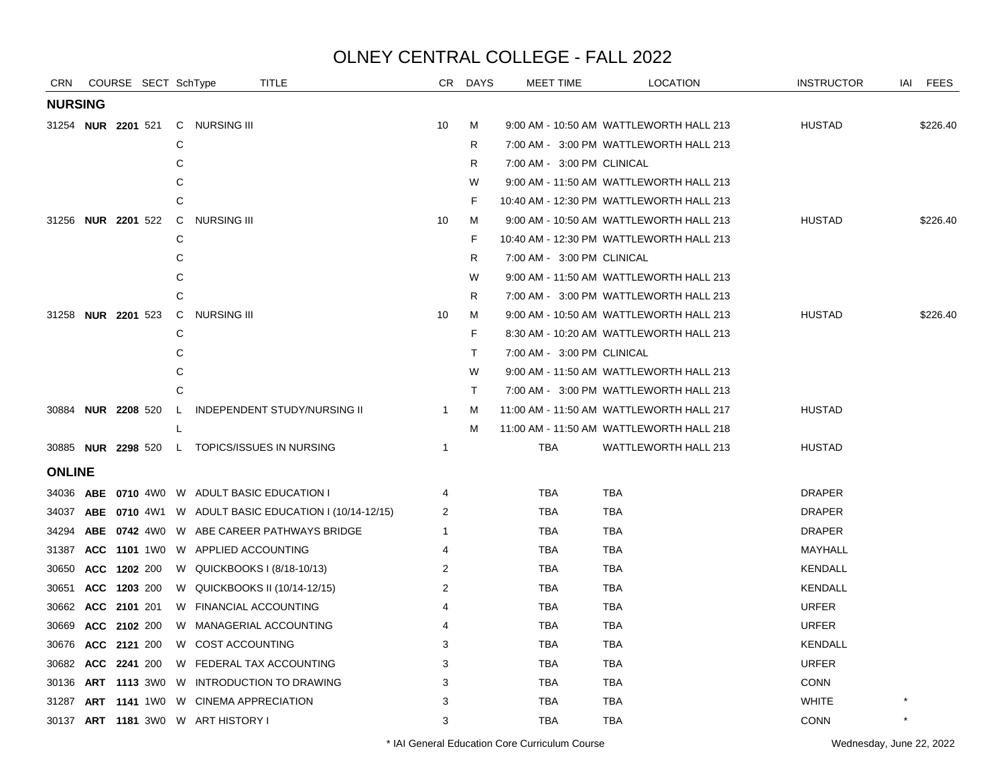| <b>CRN</b>                |              |              | COURSE SECT SchType |              | <b>TITLE</b>                                                |              | CR DAYS | MEET TIME                  | <b>LOCATION</b>                          | <b>INSTRUCTOR</b> | <b>FEES</b><br>IAI |
|---------------------------|--------------|--------------|---------------------|--------------|-------------------------------------------------------------|--------------|---------|----------------------------|------------------------------------------|-------------------|--------------------|
| <b>NURSING</b>            |              |              |                     |              |                                                             |              |         |                            |                                          |                   |                    |
| 31254 <b>NUR 2201</b> 521 |              |              |                     |              | C NURSING III                                               | 10           | М       |                            | 9:00 AM - 10:50 AM WATTLEWORTH HALL 213  | <b>HUSTAD</b>     | \$226.40           |
|                           |              |              |                     | С            |                                                             |              | R       |                            | 7:00 AM - 3:00 PM WATTLEWORTH HALL 213   |                   |                    |
|                           |              |              |                     | C            |                                                             |              | R       | 7:00 AM - 3:00 PM CLINICAL |                                          |                   |                    |
|                           |              |              |                     | С            |                                                             |              | W       |                            | 9:00 AM - 11:50 AM WATTLEWORTH HALL 213  |                   |                    |
|                           |              |              |                     | C            |                                                             |              | F       |                            | 10:40 AM - 12:30 PM WATTLEWORTH HALL 213 |                   |                    |
| 31256 NUR 2201 522        |              |              |                     | C            | <b>NURSING III</b>                                          | 10           | М       |                            | 9:00 AM - 10:50 AM WATTLEWORTH HALL 213  | <b>HUSTAD</b>     | \$226.40           |
|                           |              |              |                     | C            |                                                             |              | F       |                            | 10:40 AM - 12:30 PM WATTLEWORTH HALL 213 |                   |                    |
|                           |              |              |                     | C            |                                                             |              | R       | 7:00 AM - 3:00 PM CLINICAL |                                          |                   |                    |
|                           |              |              |                     | С            |                                                             |              | W       |                            | 9:00 AM - 11:50 AM WATTLEWORTH HALL 213  |                   |                    |
|                           |              |              |                     | C            |                                                             |              | R       |                            | 7:00 AM - 3:00 PM WATTLEWORTH HALL 213   |                   |                    |
| 31258 <b>NUR 2201</b> 523 |              |              |                     | $\mathsf{C}$ | NURSING III                                                 | 10           | м       |                            | 9:00 AM - 10:50 AM WATTLEWORTH HALL 213  | <b>HUSTAD</b>     | \$226.40           |
|                           |              |              |                     | C            |                                                             |              | F       |                            | 8:30 AM - 10:20 AM WATTLEWORTH HALL 213  |                   |                    |
|                           |              |              |                     | C            |                                                             |              | T.      | 7:00 AM - 3:00 PM CLINICAL |                                          |                   |                    |
|                           |              |              |                     | C            |                                                             |              | W       |                            | 9:00 AM - 11:50 AM WATTLEWORTH HALL 213  |                   |                    |
|                           |              |              |                     | C            |                                                             |              | T.      |                            | 7:00 AM - 3:00 PM WATTLEWORTH HALL 213   |                   |                    |
| 30884 NUR 2208 520        |              |              |                     | $\mathsf{L}$ | INDEPENDENT STUDY/NURSING II                                | $\mathbf{1}$ | М       |                            | 11:00 AM - 11:50 AM WATTLEWORTH HALL 217 | <b>HUSTAD</b>     |                    |
|                           |              |              |                     |              |                                                             |              | м       |                            | 11:00 AM - 11:50 AM WATTLEWORTH HALL 218 |                   |                    |
| 30885 <b>NUR 2298</b> 520 |              |              |                     |              | L TOPICS/ISSUES IN NURSING                                  | $\mathbf{1}$ |         | <b>TBA</b>                 | <b>WATTLEWORTH HALL 213</b>              | <b>HUSTAD</b>     |                    |
| <b>ONLINE</b>             |              |              |                     |              |                                                             |              |         |                            |                                          |                   |                    |
| 34036                     |              |              |                     |              | <b>ABE 0710 4W0 W ADULT BASIC EDUCATION I</b>               | 4            |         | TBA                        | TBA                                      | <b>DRAPER</b>     |                    |
| 34037                     |              |              |                     |              | <b>ABE 0710 4W1 W ADULT BASIC EDUCATION I (10/14-12/15)</b> | 2            |         | <b>TBA</b>                 | <b>TBA</b>                               | <b>DRAPER</b>     |                    |
| 34294                     |              |              |                     |              | ABE 0742 4W0 W ABE CAREER PATHWAYS BRIDGE                   | -1           |         | <b>TBA</b>                 | <b>TBA</b>                               | <b>DRAPER</b>     |                    |
| 31387                     |              |              |                     |              | ACC 1101 1W0 W APPLIED ACCOUNTING                           | 4            |         | TBA                        | TBA                                      | MAYHALL           |                    |
| 30650                     |              | ACC 1202 200 |                     |              | W QUICKBOOKS I (8/18-10/13)                                 | 2            |         | <b>TBA</b>                 | <b>TBA</b>                               | <b>KENDALL</b>    |                    |
| 30651                     | ACC 1203 200 |              |                     |              | W QUICKBOOKS II (10/14-12/15)                               | 2            |         | <b>TBA</b>                 | <b>TBA</b>                               | <b>KENDALL</b>    |                    |
| 30662                     | ACC 2101 201 |              |                     |              | W FINANCIAL ACCOUNTING                                      | 4            |         | TBA                        | <b>TBA</b>                               | <b>URFER</b>      |                    |
| 30669                     |              | ACC 2102 200 |                     |              | W MANAGERIAL ACCOUNTING                                     | 4            |         | TBA                        | <b>TBA</b>                               | <b>URFER</b>      |                    |
| 30676 ACC 2121 200        |              |              |                     |              | W COST ACCOUNTING                                           | 3            |         | <b>TBA</b>                 | <b>TBA</b>                               | <b>KENDALL</b>    |                    |
| 30682                     |              | ACC 2241 200 |                     |              | W FEDERAL TAX ACCOUNTING                                    | 3            |         | <b>TBA</b>                 | <b>TBA</b>                               | <b>URFER</b>      |                    |
| 30136                     |              |              |                     |              | ART 1113 3W0 W INTRODUCTION TO DRAWING                      | 3            |         | TBA                        | TBA                                      | <b>CONN</b>       |                    |
| 31287                     |              |              |                     |              | ART 1141 1W0 W CINEMA APPRECIATION                          | 3            |         | <b>TBA</b>                 | <b>TBA</b>                               | <b>WHITE</b>      |                    |
|                           |              |              |                     |              | 30137 ART 1181 3W0 W ART HISTORY I                          | 3            |         | <b>TBA</b>                 | <b>TBA</b>                               | <b>CONN</b>       |                    |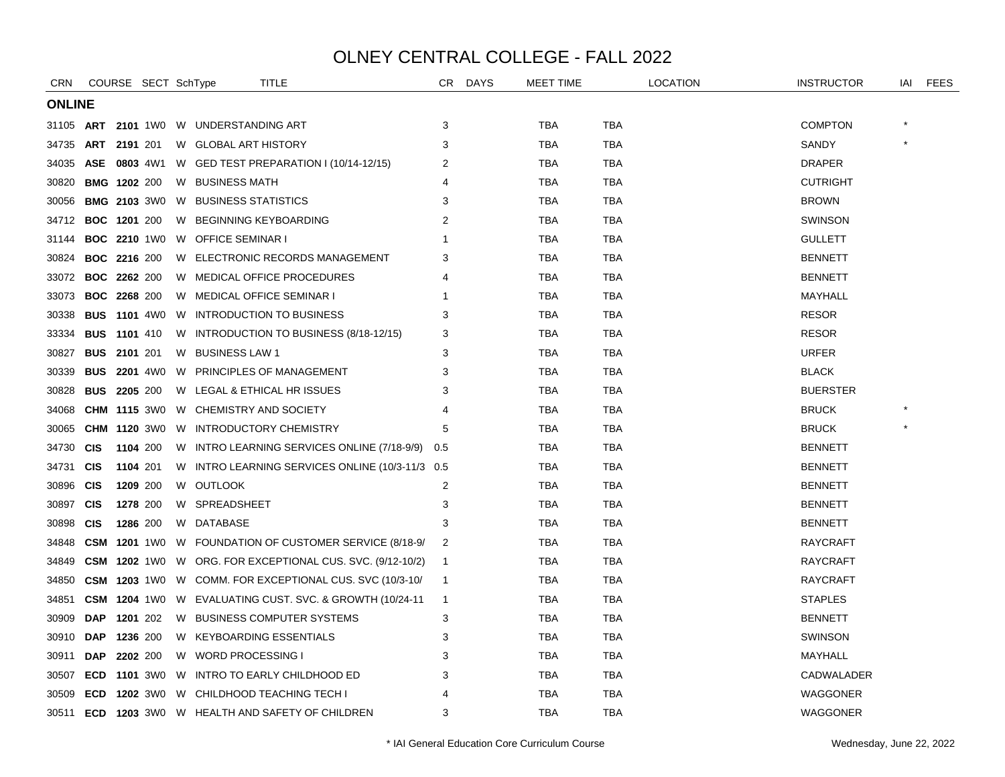| <b>CRN</b>    |                     |                     | COURSE SECT SchType |                                        | <b>TITLE</b>                                                        | CR             | <b>DAYS</b> | <b>MEET TIME</b> |            | LOCATION | <b>INSTRUCTOR</b> | IAI | <b>FEES</b> |
|---------------|---------------------|---------------------|---------------------|----------------------------------------|---------------------------------------------------------------------|----------------|-------------|------------------|------------|----------|-------------------|-----|-------------|
| <b>ONLINE</b> |                     |                     |                     |                                        |                                                                     |                |             |                  |            |          |                   |     |             |
|               |                     |                     |                     | 31105 ART 2101 1W0 W UNDERSTANDING ART |                                                                     | 3              |             | TBA              | TBA        |          | <b>COMPTON</b>    |     |             |
| 34735         | <b>ART 2191 201</b> |                     |                     | W GLOBAL ART HISTORY                   |                                                                     | 3              |             | TBA              | <b>TBA</b> |          | SANDY             |     |             |
| 34035         |                     |                     |                     |                                        | ASE 0803 4W1 W GED TEST PREPARATION I (10/14-12/15)                 | 2              |             | TBA              | TBA        |          | <b>DRAPER</b>     |     |             |
| 30820         |                     | <b>BMG 1202 200</b> |                     | W BUSINESS MATH                        |                                                                     | 4              |             | <b>TBA</b>       | <b>TBA</b> |          | <b>CUTRIGHT</b>   |     |             |
| 30056         |                     |                     | <b>BMG 2103 3W0</b> | W BUSINESS STATISTICS                  |                                                                     | 3              |             | TBA              | <b>TBA</b> |          | <b>BROWN</b>      |     |             |
| 34712         | <b>BOC 1201 200</b> |                     |                     |                                        | W BEGINNING KEYBOARDING                                             | 2              |             | TBA              | TBA        |          | <b>SWINSON</b>    |     |             |
| 31144         |                     |                     | <b>BOC 2210 1W0</b> | W OFFICE SEMINAR I                     |                                                                     |                |             | TBA              | TBA        |          | <b>GULLETT</b>    |     |             |
| 30824         | <b>BOC 2216 200</b> |                     |                     |                                        | W ELECTRONIC RECORDS MANAGEMENT                                     | 3              |             | <b>TBA</b>       | <b>TBA</b> |          | <b>BENNETT</b>    |     |             |
| 33072         | <b>BOC 2262 200</b> |                     |                     |                                        | W MEDICAL OFFICE PROCEDURES                                         | 4              |             | TBA              | <b>TBA</b> |          | <b>BENNETT</b>    |     |             |
| 33073         | <b>BOC 2268 200</b> |                     |                     |                                        | W MEDICAL OFFICE SEMINAR I                                          |                |             | TBA              | TBA        |          | MAYHALL           |     |             |
| 30338         |                     |                     |                     |                                        | <b>BUS 1101 4W0 W INTRODUCTION TO BUSINESS</b>                      | 3              |             | TBA              | <b>TBA</b> |          | <b>RESOR</b>      |     |             |
| 33334         | <b>BUS 1101 410</b> |                     |                     |                                        | W INTRODUCTION TO BUSINESS (8/18-12/15)                             | 3              |             | TBA              | <b>TBA</b> |          | <b>RESOR</b>      |     |             |
| 30827         | <b>BUS</b>          | 2101 201            |                     | W BUSINESS LAW 1                       |                                                                     | 3              |             | TBA              | <b>TBA</b> |          | <b>URFER</b>      |     |             |
| 30339         |                     |                     |                     |                                        | <b>BUS 2201 4W0 W PRINCIPLES OF MANAGEMENT</b>                      | 3              |             | TBA              | TBA        |          | <b>BLACK</b>      |     |             |
| 30828         | <b>BUS 2205 200</b> |                     |                     |                                        | W LEGAL & ETHICAL HR ISSUES                                         | 3              |             | <b>TBA</b>       | TBA        |          | <b>BUERSTER</b>   |     |             |
| 34068         |                     |                     | <b>CHM 1115 3W0</b> |                                        | W CHEMISTRY AND SOCIETY                                             |                |             | <b>TBA</b>       | <b>TBA</b> |          | <b>BRUCK</b>      |     |             |
| 30065         |                     |                     | <b>CHM 1120 3W0</b> |                                        | W INTRODUCTORY CHEMISTRY                                            | 5              |             | <b>TBA</b>       | <b>TBA</b> |          | <b>BRUCK</b>      |     |             |
| 34730         | <b>CIS</b>          | 1104 200            |                     |                                        | W INTRO LEARNING SERVICES ONLINE (7/18-9/9) 0.5                     |                |             | <b>TBA</b>       | <b>TBA</b> |          | <b>BENNETT</b>    |     |             |
| 34731 CIS     |                     | 1104 201            |                     |                                        | W INTRO LEARNING SERVICES ONLINE (10/3-11/3 0.5                     |                |             | TBA              | <b>TBA</b> |          | <b>BENNETT</b>    |     |             |
| 30896         | <b>CIS</b>          | 1209 200            |                     | W OUTLOOK                              |                                                                     | 2              |             | TBA              | <b>TBA</b> |          | <b>BENNETT</b>    |     |             |
| 30897         | <b>CIS</b>          | 1278 200            |                     | W SPREADSHEET                          |                                                                     | 3              |             | <b>TBA</b>       | TBA        |          | <b>BENNETT</b>    |     |             |
| 30898         | <b>CIS</b>          | 1286 200            |                     | W DATABASE                             |                                                                     | 3              |             | TBA              | TBA        |          | <b>BENNETT</b>    |     |             |
| 34848         | <b>CSM</b>          |                     | <b>1201</b> 1W0     |                                        | W FOUNDATION OF CUSTOMER SERVICE (8/18-9/                           | 2              |             | <b>TBA</b>       | <b>TBA</b> |          | RAYCRAFT          |     |             |
| 34849         |                     |                     |                     |                                        | <b>CSM 1202</b> 1W0 W ORG. FOR EXCEPTIONAL CUS. SVC. (9/12-10/2)    | $\overline{1}$ |             | TBA              | TBA        |          | <b>RAYCRAFT</b>   |     |             |
| 34850         |                     |                     |                     |                                        | <b>CSM 1203</b> 1W0 W COMM. FOR EXCEPTIONAL CUS. SVC (10/3-10/      | -1             |             | TBA              | TBA        |          | RAYCRAFT          |     |             |
| 34851         |                     |                     |                     |                                        | <b>CSM 1204 1WO W EVALUATING CUST. SVC. &amp; GROWTH (10/24-11)</b> | $\overline{1}$ |             | TBA              | TBA        |          | <b>STAPLES</b>    |     |             |
| 30909         | <b>DAP</b>          | 1201 202            |                     |                                        | W BUSINESS COMPUTER SYSTEMS                                         | 3              |             | <b>TBA</b>       | <b>TBA</b> |          | <b>BENNETT</b>    |     |             |
| 30910         | <b>DAP</b>          | 1236 200            |                     |                                        | W KEYBOARDING ESSENTIALS                                            | 3              |             | <b>TBA</b>       | <b>TBA</b> |          | <b>SWINSON</b>    |     |             |
| 30911         | <b>DAP</b>          | 2202 200            |                     | W WORD PROCESSING I                    |                                                                     | 3              |             | TBA              | TBA        |          | MAYHALL           |     |             |
| 30507         |                     |                     |                     |                                        | <b>ECD 1101 3W0 W INTRO TO EARLY CHILDHOOD ED</b>                   | 3              |             | TBA              | TBA        |          | CADWALADER        |     |             |
| 30509         | <b>ECD</b>          |                     |                     |                                        | 1202 3WO W CHILDHOOD TEACHING TECH I                                | 4              |             | TBA              | <b>TBA</b> |          | <b>WAGGONER</b>   |     |             |
| 30511         |                     |                     |                     |                                        | <b>ECD 1203 3WO W HEALTH AND SAFETY OF CHILDREN</b>                 | 3              |             | <b>TBA</b>       | <b>TBA</b> |          | <b>WAGGONER</b>   |     |             |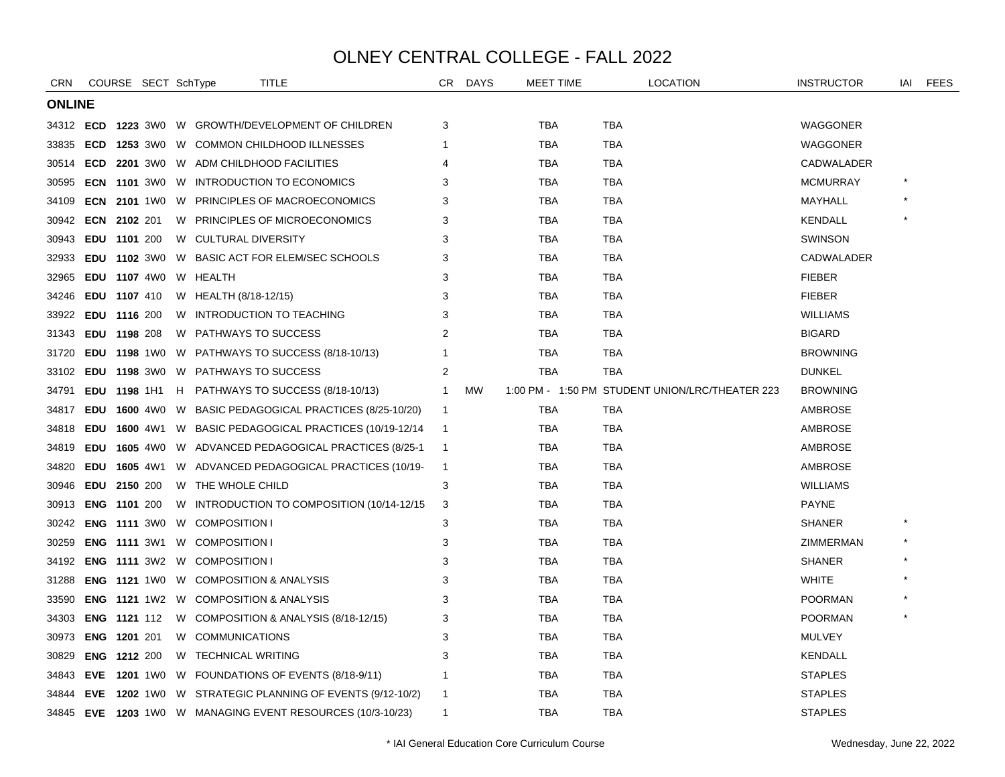| CRN           | COURSE SECT SchType |  |                                           | <b>TITLE</b>                                                   | CR             | <b>DAYS</b> | <b>MEET TIME</b> |            | <b>LOCATION</b>                                 | <b>INSTRUCTOR</b> | IAI | <b>FEES</b> |
|---------------|---------------------|--|-------------------------------------------|----------------------------------------------------------------|----------------|-------------|------------------|------------|-------------------------------------------------|-------------------|-----|-------------|
| <b>ONLINE</b> |                     |  |                                           |                                                                |                |             |                  |            |                                                 |                   |     |             |
|               |                     |  |                                           | 34312 ECD 1223 3W0 W GROWTH/DEVELOPMENT OF CHILDREN            | 3              |             | <b>TBA</b>       | TBA        |                                                 | <b>WAGGONER</b>   |     |             |
| 33835         |                     |  |                                           | <b>ECD 1253 3W0 W COMMON CHILDHOOD ILLNESSES</b>               |                |             | TBA              | TBA        |                                                 | <b>WAGGONER</b>   |     |             |
| 30514         |                     |  |                                           | <b>ECD 2201 3WO W ADM CHILDHOOD FACILITIES</b>                 |                |             | TBA              | TBA        |                                                 | CADWALADER        |     |             |
| 30595         |                     |  |                                           | <b>ECN 1101 3WO W INTRODUCTION TO ECONOMICS</b>                | 3              |             | <b>TBA</b>       | <b>TBA</b> |                                                 | <b>MCMURRAY</b>   |     |             |
| 34109         |                     |  |                                           | <b>ECN 2101 1WO W PRINCIPLES OF MACROECONOMICS</b>             | 3              |             | <b>TBA</b>       | <b>TBA</b> |                                                 | MAYHALL           |     |             |
| 30942         | <b>ECN 2102 201</b> |  |                                           | W PRINCIPLES OF MICROECONOMICS                                 | 3              |             | TBA              | TBA        |                                                 | KENDALL           |     |             |
| 30943         | EDU 1101 200        |  | W CULTURAL DIVERSITY                      |                                                                | 3              |             | TBA              | TBA        |                                                 | <b>SWINSON</b>    |     |             |
| 32933         | <b>EDU 1102 3W0</b> |  |                                           | W BASIC ACT FOR ELEM/SEC SCHOOLS                               | 3              |             | <b>TBA</b>       | TBA        |                                                 | CADWALADER        |     |             |
| 32965         | <b>EDU 1107 4W0</b> |  | W HEALTH                                  |                                                                | 3              |             | <b>TBA</b>       | <b>TBA</b> |                                                 | <b>FIEBER</b>     |     |             |
| 34246         | EDU 1107 410        |  | W HEALTH (8/18-12/15)                     |                                                                | 3              |             | TBA              | TBA        |                                                 | <b>FIEBER</b>     |     |             |
| 33922         | EDU 1116 200        |  |                                           | W INTRODUCTION TO TEACHING                                     | 3              |             | TBA              | TBA        |                                                 | <b>WILLIAMS</b>   |     |             |
| 31343         | EDU 1198 208        |  | W PATHWAYS TO SUCCESS                     |                                                                | 2              |             | TBA              | TBA        |                                                 | <b>BIGARD</b>     |     |             |
| 31720         | EDU 1198 1W0        |  |                                           | W PATHWAYS TO SUCCESS (8/18-10/13)                             |                |             | <b>TBA</b>       | <b>TBA</b> |                                                 | <b>BROWNING</b>   |     |             |
| 33102         |                     |  | <b>EDU 1198 3W0 W PATHWAYS TO SUCCESS</b> |                                                                | 2              |             | <b>TBA</b>       | <b>TBA</b> |                                                 | <b>DUNKEL</b>     |     |             |
| 34791         |                     |  |                                           | <b>EDU 1198</b> 1H1 H PATHWAYS TO SUCCESS (8/18-10/13)         | -1             | <b>MW</b>   |                  |            | 1:00 PM - 1:50 PM STUDENT UNION/LRC/THEATER 223 | <b>BROWNING</b>   |     |             |
| 34817         |                     |  |                                           | <b>EDU 1600</b> 4W0 W BASIC PEDAGOGICAL PRACTICES (8/25-10/20) | $\overline{1}$ |             | <b>TBA</b>       | TBA        |                                                 | AMBROSE           |     |             |
| 34818         | EDU 1600 4W1        |  |                                           | W BASIC PEDAGOGICAL PRACTICES (10/19-12/14                     | -1             |             | <b>TBA</b>       | <b>TBA</b> |                                                 | AMBROSE           |     |             |
| 34819         |                     |  |                                           | <b>EDU 1605 4W0 W ADVANCED PEDAGOGICAL PRACTICES (8/25-1)</b>  | -1             |             | TBA              | <b>TBA</b> |                                                 | AMBROSE           |     |             |
| 34820         |                     |  |                                           | <b>EDU 1605 4W1 W ADVANCED PEDAGOGICAL PRACTICES (10/19-</b>   | $\overline{1}$ |             | TBA              | TBA        |                                                 | AMBROSE           |     |             |
| 30946         | EDU 2150 200        |  | W THE WHOLE CHILD                         |                                                                | 3              |             | TBA              | TBA        |                                                 | <b>WILLIAMS</b>   |     |             |
| 30913         | <b>ENG 1101 200</b> |  |                                           | W INTRODUCTION TO COMPOSITION (10/14-12/15)                    | 3              |             | <b>TBA</b>       | TBA        |                                                 | <b>PAYNE</b>      |     |             |
| 30242         | <b>ENG 1111 3W0</b> |  | W COMPOSITION I                           |                                                                | 3              |             | <b>TBA</b>       | <b>TBA</b> |                                                 | <b>SHANER</b>     |     |             |
| 30259         | <b>ENG 1111 3W1</b> |  | W COMPOSITION I                           |                                                                | 3              |             | <b>TBA</b>       | TBA        |                                                 | ZIMMERMAN         |     |             |
| 34192         |                     |  | ENG 1111 3W2 W COMPOSITION I              |                                                                | 3              |             | <b>TBA</b>       | TBA        |                                                 | <b>SHANER</b>     |     |             |
| 31288         |                     |  |                                           | <b>ENG 1121 1WO W COMPOSITION &amp; ANALYSIS</b>               | 3              |             | <b>TBA</b>       | TBA        |                                                 | <b>WHITE</b>      |     |             |
| 33590         | <b>ENG 1121 1W2</b> |  |                                           | W COMPOSITION & ANALYSIS                                       | 3              |             | <b>TBA</b>       | <b>TBA</b> |                                                 | <b>POORMAN</b>    |     |             |
| 34303         | <b>ENG 1121 112</b> |  |                                           | W COMPOSITION & ANALYSIS (8/18-12/15)                          | 3              |             | <b>TBA</b>       | <b>TBA</b> |                                                 | <b>POORMAN</b>    |     |             |
| 30973         | <b>ENG 1201 201</b> |  | W COMMUNICATIONS                          |                                                                | 3              |             | TBA              | TBA        |                                                 | <b>MULVEY</b>     |     |             |
| 30829         | <b>ENG 1212 200</b> |  | W TECHNICAL WRITING                       |                                                                | 3              |             | <b>TBA</b>       | TBA        |                                                 | <b>KENDALL</b>    |     |             |
| 34843         |                     |  |                                           | <b>EVE 1201</b> 1W0 W FOUNDATIONS OF EVENTS $(8/18-9/11)$      |                |             | TBA              | <b>TBA</b> |                                                 | <b>STAPLES</b>    |     |             |
| 34844         |                     |  |                                           | <b>EVE 1202 1WO W STRATEGIC PLANNING OF EVENTS (9/12-10/2)</b> | -1             |             | <b>TBA</b>       | TBA        |                                                 | <b>STAPLES</b>    |     |             |
|               |                     |  |                                           | 34845 EVE 1203 1W0 W MANAGING EVENT RESOURCES (10/3-10/23)     | $\mathbf{1}$   |             | <b>TBA</b>       | TBA        |                                                 | <b>STAPLES</b>    |     |             |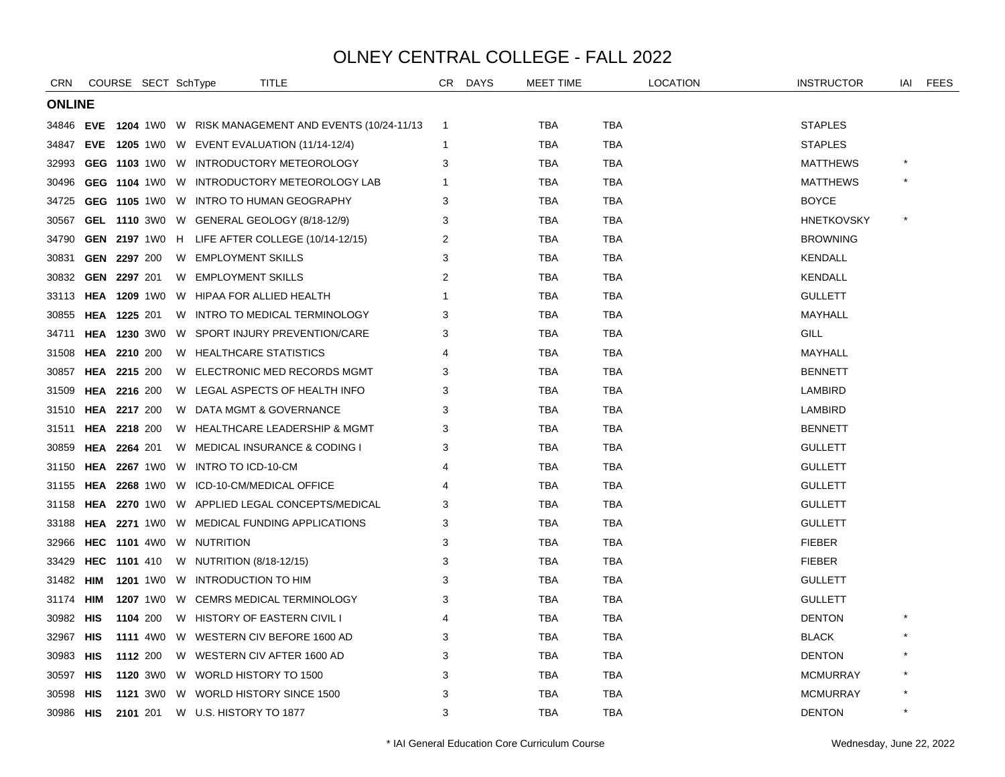| CRN           |            | COURSE SECT SchType |  | <b>TITLE</b>                                                 | CR | <b>DAYS</b> | MEET TIME  |            | LOCATION | <b>INSTRUCTOR</b> | iai     | <b>FEES</b> |
|---------------|------------|---------------------|--|--------------------------------------------------------------|----|-------------|------------|------------|----------|-------------------|---------|-------------|
| <b>ONLINE</b> |            |                     |  |                                                              |    |             |            |            |          |                   |         |             |
|               |            |                     |  | 34846 EVE 1204 1W0 W RISK MANAGEMENT AND EVENTS (10/24-11/13 | -1 |             | TBA        | TBA        |          | <b>STAPLES</b>    |         |             |
| 34847         |            |                     |  | <b>EVE 1205 1WO W EVENT EVALUATION (11/14-12/4)</b>          | -1 |             | <b>TBA</b> | TBA        |          | <b>STAPLES</b>    |         |             |
| 32993         |            |                     |  | <b>GEG 1103 1WO W INTRODUCTORY METEOROLOGY</b>               | 3  |             | <b>TBA</b> | <b>TBA</b> |          | <b>MATTHEWS</b>   |         |             |
| 30496         |            |                     |  | GEG 1104 1W0 W INTRODUCTORY METEOROLOGY LAB                  |    |             | TBA        | <b>TBA</b> |          | <b>MATTHEWS</b>   |         |             |
| 34725         |            |                     |  | GEG 1105 1W0 W INTRO TO HUMAN GEOGRAPHY                      | 3  |             | TBA        | TBA        |          | <b>BOYCE</b>      |         |             |
| 30567         |            |                     |  | GEL 1110 3W0 W GENERAL GEOLOGY (8/18-12/9)                   | 3  |             | <b>TBA</b> | <b>TBA</b> |          | <b>HNETKOVSKY</b> |         |             |
| 34790         |            |                     |  | <b>GEN 2197</b> 1W0 H LIFE AFTER COLLEGE (10/14-12/15)       | 2  |             | TBA        | TBA        |          | <b>BROWNING</b>   |         |             |
| 30831         |            | GEN 2297 200        |  | W EMPLOYMENT SKILLS                                          | 3  |             | <b>TBA</b> | TBA        |          | <b>KENDALL</b>    |         |             |
| 30832         |            | GEN 2297 201        |  | W EMPLOYMENT SKILLS                                          | 2  |             | <b>TBA</b> | <b>TBA</b> |          | <b>KENDALL</b>    |         |             |
| 33113         |            | <b>HEA 1209 1W0</b> |  | W HIPAA FOR ALLIED HEALTH                                    |    |             | <b>TBA</b> | TBA        |          | <b>GULLETT</b>    |         |             |
| 30855         |            | <b>HEA 1225 201</b> |  | W INTRO TO MEDICAL TERMINOLOGY                               | 3  |             | TBA        | TBA        |          | MAYHALL           |         |             |
| 34711         |            | <b>HEA 1230 3W0</b> |  | W SPORT INJURY PREVENTION/CARE                               | 3  |             | TBA        | TBA        |          | GILL              |         |             |
| 31508         |            | <b>HEA 2210 200</b> |  | W HEALTHCARE STATISTICS                                      |    |             | <b>TBA</b> | TBA        |          | MAYHALL           |         |             |
| 30857         |            | <b>HEA 2215 200</b> |  | W ELECTRONIC MED RECORDS MGMT                                | 3  |             | <b>TBA</b> | TBA        |          | <b>BENNETT</b>    |         |             |
| 31509         |            | HEA 2216 200        |  | W LEGAL ASPECTS OF HEALTH INFO                               | 3  |             | <b>TBA</b> | <b>TBA</b> |          | <b>LAMBIRD</b>    |         |             |
| 31510         |            | <b>HEA 2217 200</b> |  | W DATA MGMT & GOVERNANCE                                     | 3  |             | TBA        | TBA        |          | LAMBIRD           |         |             |
| 31511         |            | <b>HEA 2218 200</b> |  | W HEALTHCARE LEADERSHIP & MGMT                               | 3  |             | TBA        | TBA        |          | <b>BENNETT</b>    |         |             |
| 30859         |            | <b>HEA 2264 201</b> |  | W MEDICAL INSURANCE & CODING I                               | 3  |             | <b>TBA</b> | <b>TBA</b> |          | <b>GULLETT</b>    |         |             |
| 31150         |            | <b>HEA 2267 1W0</b> |  | W INTRO TO ICD-10-CM                                         |    |             | <b>TBA</b> | TBA        |          | <b>GULLETT</b>    |         |             |
| 31155         |            |                     |  | HEA 2268 1W0 W ICD-10-CM/MEDICAL OFFICE                      | 4  |             | TBA        | TBA        |          | <b>GULLETT</b>    |         |             |
| 31158         |            |                     |  | <b>HEA 2270 1WO W APPLIED LEGAL CONCEPTS/MEDICAL</b>         | 3  |             | <b>TBA</b> | <b>TBA</b> |          | <b>GULLETT</b>    |         |             |
| 33188         |            |                     |  | <b>HEA 2271 1WO W MEDICAL FUNDING APPLICATIONS</b>           | 3  |             | TBA        | TBA        |          | <b>GULLETT</b>    |         |             |
| 32966         |            |                     |  | <b>HEC 1101 4W0 W NUTRITION</b>                              | 3  |             | <b>TBA</b> | TBA        |          | <b>FIEBER</b>     |         |             |
| 33429         |            | <b>HEC 1101 410</b> |  | W NUTRITION (8/18-12/15)                                     | 3  |             | <b>TBA</b> | <b>TBA</b> |          | <b>FIEBER</b>     |         |             |
| 31482         | <b>HIM</b> |                     |  | 1201 1W0 W INTRODUCTION TO HIM                               | 3  |             | <b>TBA</b> | TBA        |          | <b>GULLETT</b>    |         |             |
| 31174         | HIM        | <b>1207</b> 1W0     |  | W CEMRS MEDICAL TERMINOLOGY                                  | 3  |             | <b>TBA</b> | <b>TBA</b> |          | <b>GULLETT</b>    |         |             |
| 30982 HIS     |            | 1104 200            |  | W HISTORY OF EASTERN CIVIL I                                 |    |             | TBA        | <b>TBA</b> |          | <b>DENTON</b>     |         |             |
| 32967 HIS     |            | <b>1111</b> 4W0     |  | W WESTERN CIV BEFORE 1600 AD                                 | 3  |             | <b>TBA</b> | TBA        |          | <b>BLACK</b>      |         |             |
| 30983 HIS     |            | 1112 200            |  | W WESTERN CIV AFTER 1600 AD                                  | 3  |             | <b>TBA</b> | TBA        |          | <b>DENTON</b>     |         |             |
| 30597         | HIS        | <b>1120</b> 3W0     |  | W WORLD HISTORY TO 1500                                      | 3  |             | <b>TBA</b> | <b>TBA</b> |          | <b>MCMURRAY</b>   |         |             |
| 30598         | HIS        |                     |  | 1121 3W0 W WORLD HISTORY SINCE 1500                          | 3  |             | <b>TBA</b> | TBA        |          | <b>MCMURRAY</b>   |         |             |
| 30986 HIS     |            | 2101 201            |  | W U.S. HISTORY TO 1877                                       | 3  |             | <b>TBA</b> | <b>TBA</b> |          | <b>DENTON</b>     | $\star$ |             |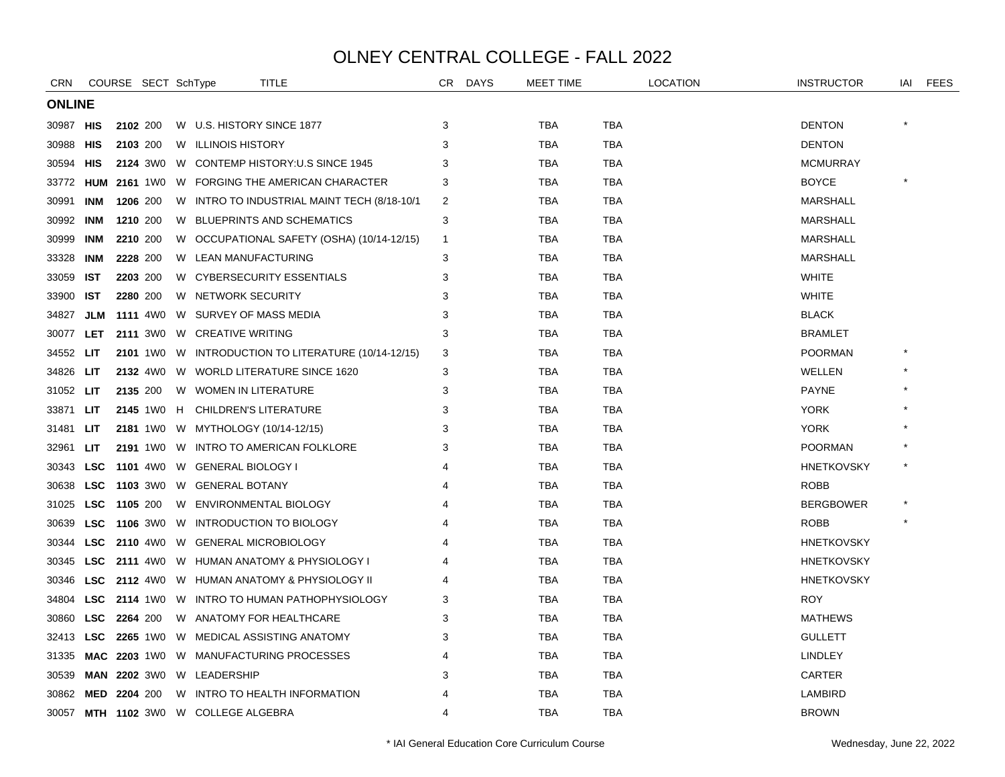| <b>CRN</b>    |                     |          | COURSE SECT SchType   | <b>TITLE</b>                                         | CR             | <b>DAYS</b> | MEET TIME  |            | <b>LOCATION</b> | <b>INSTRUCTOR</b> | iai | FEES |
|---------------|---------------------|----------|-----------------------|------------------------------------------------------|----------------|-------------|------------|------------|-----------------|-------------------|-----|------|
| <b>ONLINE</b> |                     |          |                       |                                                      |                |             |            |            |                 |                   |     |      |
| 30987         | HIS                 |          | 2102 200              | W U.S. HISTORY SINCE 1877                            | 3              |             | TBA        | <b>TBA</b> |                 | <b>DENTON</b>     |     |      |
| 30988         | HIS                 |          | 2103 200              | W ILLINOIS HISTORY                                   | 3              |             | <b>TBA</b> | <b>TBA</b> |                 | <b>DENTON</b>     |     |      |
| 30594         | HIS                 |          |                       | 2124 3W0 W CONTEMP HISTORY: U.S SINCE 1945           | 3              |             | TBA        | TBA        |                 | <b>MCMURRAY</b>   |     |      |
| 33772         |                     |          |                       | <b>HUM 2161 1WO W FORGING THE AMERICAN CHARACTER</b> | 3              |             | TBA        | TBA        |                 | <b>BOYCE</b>      |     |      |
| 30991         | INM                 |          | 1206 200              | W INTRO TO INDUSTRIAL MAINT TECH (8/18-10/1          | 2              |             | <b>TBA</b> | <b>TBA</b> |                 | <b>MARSHALL</b>   |     |      |
| 30992         | INM                 |          | 1210 200              | W BLUEPRINTS AND SCHEMATICS                          | 3              |             | <b>TBA</b> | <b>TBA</b> |                 | <b>MARSHALL</b>   |     |      |
| 30999         | <b>INM</b>          |          | 2210 200              | W OCCUPATIONAL SAFETY (OSHA) (10/14-12/15)           | -1             |             | <b>TBA</b> | <b>TBA</b> |                 | <b>MARSHALL</b>   |     |      |
| 33328         | <b>INM</b>          |          | 2228 200              | W LEAN MANUFACTURING                                 | 3              |             | TBA        | <b>TBA</b> |                 | <b>MARSHALL</b>   |     |      |
| 33059         | IST                 |          | 2203 200              | W CYBERSECURITY ESSENTIALS                           | 3              |             | TBA        | TBA        |                 | <b>WHITE</b>      |     |      |
| 33900         | <b>IST</b>          |          | 2280 200              | W NETWORK SECURITY                                   | 3              |             | TBA        | TBA        |                 | <b>WHITE</b>      |     |      |
| 34827         | JLM                 |          | <b>1111</b> 4W0       | W SURVEY OF MASS MEDIA                               | 3              |             | TBA        | TBA        |                 | <b>BLACK</b>      |     |      |
| 30077         | <b>LET</b>          |          |                       | 2111 3WO W CREATIVE WRITING                          | 3              |             | <b>TBA</b> | <b>TBA</b> |                 | <b>BRAMLET</b>    |     |      |
| 34552         | LIT.                |          |                       | 2101 1W0 W INTRODUCTION TO LITERATURE (10/14-12/15)  | 3              |             | TBA        | <b>TBA</b> |                 | <b>POORMAN</b>    |     |      |
| 34826         | LIT.                |          |                       | 2132 4W0 W WORLD LITERATURE SINCE 1620               | 3              |             | <b>TBA</b> | <b>TBA</b> |                 | WELLEN            |     |      |
| 31052 LIT     |                     |          | 2135 200              | W WOMEN IN LITERATURE                                | 3              |             | TBA        | <b>TBA</b> |                 | <b>PAYNE</b>      |     |      |
| 33871         | LIT                 |          |                       | 2145 1W0 H CHILDREN'S LITERATURE                     | 3              |             | <b>TBA</b> | <b>TBA</b> |                 | <b>YORK</b>       |     |      |
| 31481         | <b>LIT</b>          |          |                       | 2181 1W0 W MYTHOLOGY (10/14-12/15)                   | 3              |             | <b>TBA</b> | <b>TBA</b> |                 | <b>YORK</b>       |     |      |
| 32961         | LIT                 |          |                       | 2191 1WO W INTRO TO AMERICAN FOLKLORE                | 3              |             | TBA        | <b>TBA</b> |                 | <b>POORMAN</b>    |     |      |
| 30343         | <b>LSC</b>          |          |                       | 1101 4W0 W GENERAL BIOLOGY I                         |                |             | <b>TBA</b> | <b>TBA</b> |                 | <b>HNETKOVSKY</b> |     |      |
| 30638         | <b>LSC</b>          |          |                       | 1103 3W0 W GENERAL BOTANY                            |                |             | TBA        | TBA        |                 | <b>ROBB</b>       |     |      |
| 31025         | <b>LSC</b>          | 1105 200 |                       | W ENVIRONMENTAL BIOLOGY                              |                |             | TBA        | TBA        |                 | <b>BERGBOWER</b>  |     |      |
| 30639         | <b>LSC</b>          |          |                       | 1106 3W0 W INTRODUCTION TO BIOLOGY                   |                |             | <b>TBA</b> | <b>TBA</b> |                 | <b>ROBB</b>       |     |      |
| 30344         | <b>LSC</b>          |          |                       | 2110 4W0 W GENERAL MICROBIOLOGY                      |                |             | <b>TBA</b> | <b>TBA</b> |                 | <b>HNETKOVSKY</b> |     |      |
| 30345         |                     |          |                       | LSC 2111 4W0 W HUMAN ANATOMY & PHYSIOLOGY I          |                |             | <b>TBA</b> | <b>TBA</b> |                 | <b>HNETKOVSKY</b> |     |      |
| 30346         | <b>LSC</b>          |          |                       | 2112 4W0 W HUMAN ANATOMY & PHYSIOLOGY II             |                |             | TBA        | TBA        |                 | <b>HNETKOVSKY</b> |     |      |
| 34804         | LSC                 |          |                       | 2114 1W0 W INTRO TO HUMAN PATHOPHYSIOLOGY            | 3              |             | <b>TBA</b> | <b>TBA</b> |                 | <b>ROY</b>        |     |      |
| 30860         | <b>LSC</b>          | 2264 200 |                       | W ANATOMY FOR HEALTHCARE                             | 3              |             | <b>TBA</b> | <b>TBA</b> |                 | <b>MATHEWS</b>    |     |      |
| 32413         | <b>LSC</b>          |          |                       | 2265 1W0 W MEDICAL ASSISTING ANATOMY                 | 3              |             | TBA        | TBA        |                 | <b>GULLETT</b>    |     |      |
| 31335         |                     |          |                       | MAC 2203 1W0 W MANUFACTURING PROCESSES               |                |             | <b>TBA</b> | <b>TBA</b> |                 | <b>LINDLEY</b>    |     |      |
| 30539         |                     |          | <b>MAN 2202</b> 3W0 W | LEADERSHIP                                           | 3              |             | TBA        | TBA        |                 | CARTER            |     |      |
| 30862         | <b>MED 2204 200</b> |          |                       | W INTRO TO HEALTH INFORMATION                        |                |             | TBA        | <b>TBA</b> |                 | LAMBIRD           |     |      |
|               |                     |          |                       | 30057 MTH 1102 3W0 W COLLEGE ALGEBRA                 | $\overline{4}$ |             | <b>TBA</b> | <b>TBA</b> |                 | <b>BROWN</b>      |     |      |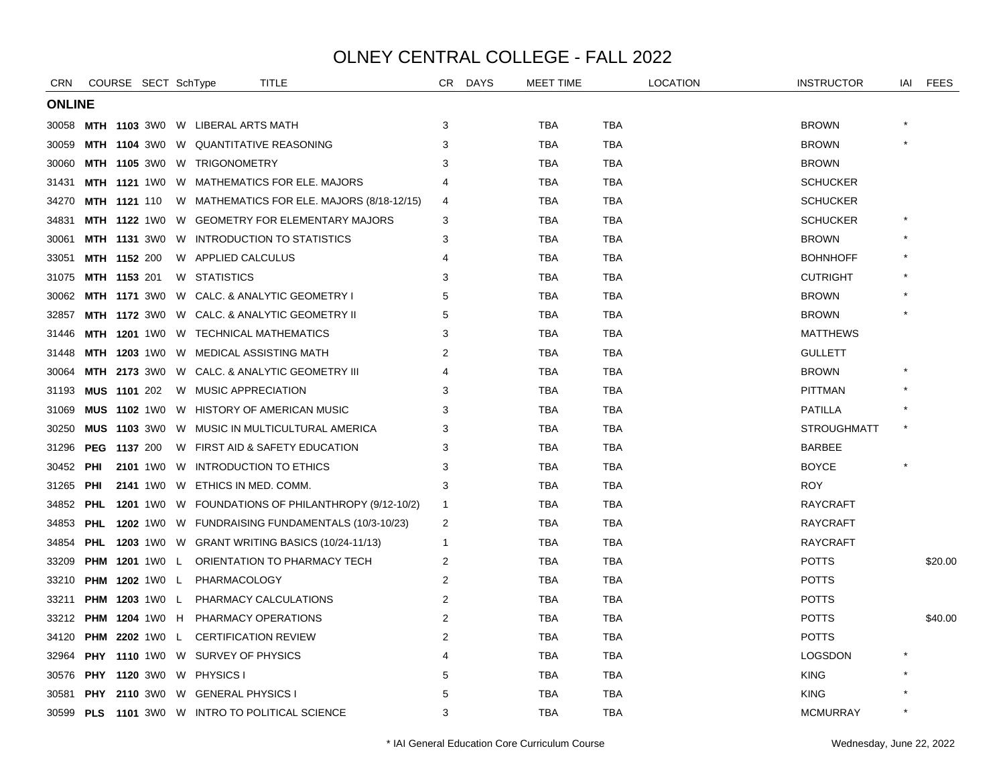| <b>CRN</b>    |            | COURSE SECT SchType   |                                              | TITLE                                                    | CR. | <b>DAYS</b> | <b>MEET TIME</b> |            | <b>LOCATION</b> | <b>INSTRUCTOR</b>  | iai | <b>FEES</b> |
|---------------|------------|-----------------------|----------------------------------------------|----------------------------------------------------------|-----|-------------|------------------|------------|-----------------|--------------------|-----|-------------|
| <b>ONLINE</b> |            |                       |                                              |                                                          |     |             |                  |            |                 |                    |     |             |
|               |            |                       | 30058 MTH 1103 3W0 W LIBERAL ARTS MATH       |                                                          | 3   |             | <b>TBA</b>       | <b>TBA</b> |                 | <b>BROWN</b>       |     |             |
| 30059         |            |                       | <b>MTH 1104 3W0 W QUANTITATIVE REASONING</b> |                                                          | 3   |             | <b>TBA</b>       | <b>TBA</b> |                 | <b>BROWN</b>       |     |             |
| 30060         |            |                       | MTH 1105 3W0 W TRIGONOMETRY                  |                                                          | 3   |             | <b>TBA</b>       | <b>TBA</b> |                 | <b>BROWN</b>       |     |             |
| 31431         |            |                       |                                              | <b>MTH 1121 1WO W MATHEMATICS FOR ELE. MAJORS</b>        |     |             | TBA              | <b>TBA</b> |                 | <b>SCHUCKER</b>    |     |             |
| 34270         |            | <b>MTH 1121 110</b>   |                                              | W MATHEMATICS FOR ELE. MAJORS (8/18-12/15)               | 4   |             | TBA              | <b>TBA</b> |                 | <b>SCHUCKER</b>    |     |             |
| 34831         |            | <b>MTH 1122 1W0</b>   |                                              | W GEOMETRY FOR ELEMENTARY MAJORS                         | 3   |             | <b>TBA</b>       | <b>TBA</b> |                 | <b>SCHUCKER</b>    |     |             |
| 30061         |            | <b>MTH 1131 3W0</b>   |                                              | W INTRODUCTION TO STATISTICS                             | 3   |             | <b>TBA</b>       | <b>TBA</b> |                 | <b>BROWN</b>       |     |             |
| 33051         |            | <b>MTH 1152 200</b>   | W APPLIED CALCULUS                           |                                                          |     |             | TBA              | TBA        |                 | <b>BOHNHOFF</b>    |     |             |
| 31075         |            | <b>MTH 1153 201</b>   | W STATISTICS                                 |                                                          | 3   |             | <b>TBA</b>       | <b>TBA</b> |                 | <b>CUTRIGHT</b>    |     |             |
| 30062         |            | <b>MTH 1171 3W0</b>   |                                              | W CALC. & ANALYTIC GEOMETRY I                            | 5   |             | <b>TBA</b>       | TBA        |                 | <b>BROWN</b>       |     |             |
| 32857         |            |                       |                                              | MTH 1172 3W0 W CALC. & ANALYTIC GEOMETRY II              | 5   |             | TBA              | TBA        |                 | <b>BROWN</b>       |     |             |
| 31446         |            |                       | MTH 1201 1WO W TECHNICAL MATHEMATICS         |                                                          | 3   |             | <b>TBA</b>       | <b>TBA</b> |                 | <b>MATTHEWS</b>    |     |             |
| 31448         |            |                       | MTH 1203 1W0 W MEDICAL ASSISTING MATH        |                                                          | 2   |             | <b>TBA</b>       | <b>TBA</b> |                 | <b>GULLETT</b>     |     |             |
| 30064         |            |                       |                                              | <b>MTH 2173</b> 3W0 W CALC. & ANALYTIC GEOMETRY III      |     |             | <b>TBA</b>       | TBA        |                 | <b>BROWN</b>       |     |             |
| 31193         |            | MUS 1101 202          | W MUSIC APPRECIATION                         |                                                          | 3   |             | <b>TBA</b>       | <b>TBA</b> |                 | <b>PITTMAN</b>     |     |             |
| 31069         |            | <b>MUS 1102 1W0</b>   |                                              | W HISTORY OF AMERICAN MUSIC                              | 3   |             | <b>TBA</b>       | TBA        |                 | <b>PATILLA</b>     |     |             |
| 30250         |            |                       |                                              | <b>MUS 1103 3WO W MUSIC IN MULTICULTURAL AMERICA</b>     | 3   |             | TBA              | TBA        |                 | <b>STROUGHMATT</b> |     |             |
| 31296         |            | PEG 1137 200          |                                              | W FIRST AID & SAFETY EDUCATION                           | 3   |             | <b>TBA</b>       | <b>TBA</b> |                 | <b>BARBEE</b>      |     |             |
| 30452 PHI     |            |                       | 2101 1WO W INTRODUCTION TO ETHICS            |                                                          | 3   |             | <b>TBA</b>       | TBA        |                 | <b>BOYCE</b>       |     |             |
| 31265         | PHI        | <b>2141</b> 1W0       | W ETHICS IN MED. COMM.                       |                                                          | 3   |             | <b>TBA</b>       | TBA        |                 | <b>ROY</b>         |     |             |
| 34852         | <b>PHL</b> |                       |                                              | 1201 1W0 W FOUNDATIONS OF PHILANTHROPY (9/12-10/2)       | -1  |             | <b>TBA</b>       | <b>TBA</b> |                 | <b>RAYCRAFT</b>    |     |             |
| 34853         | <b>PHL</b> |                       |                                              | 1202 1W0 W FUNDRAISING FUNDAMENTALS (10/3-10/23)         | 2   |             | <b>TBA</b>       | TBA        |                 | <b>RAYCRAFT</b>    |     |             |
| 34854         |            |                       |                                              | <b>PHL 1203</b> 1W0 W GRANT WRITING BASICS (10/24-11/13) | -1  |             | TBA              | TBA        |                 | <b>RAYCRAFT</b>    |     |             |
| 33209         |            |                       |                                              | <b>PHM 1201 1WO L ORIENTATION TO PHARMACY TECH</b>       | 2   |             | <b>TBA</b>       | <b>TBA</b> |                 | <b>POTTS</b>       |     | \$20.00     |
| 33210         |            | <b>PHM 1202 1W0 L</b> | PHARMACOLOGY                                 |                                                          | 2   |             | TBA              | <b>TBA</b> |                 | <b>POTTS</b>       |     |             |
| 33211         |            |                       | PHM 1203 1W0 L PHARMACY CALCULATIONS         |                                                          | 2   |             | TBA              | TBA        |                 | <b>POTTS</b>       |     |             |
| 33212         |            |                       | <b>PHM 1204 1WO H PHARMACY OPERATIONS</b>    |                                                          | 2   |             | <b>TBA</b>       | <b>TBA</b> |                 | <b>POTTS</b>       |     | \$40.00     |
| 34120         |            | <b>PHM 2202</b> 1W0 L | <b>CERTIFICATION REVIEW</b>                  |                                                          | 2   |             | <b>TBA</b>       | TBA        |                 | <b>POTTS</b>       |     |             |
| 32964         |            |                       | <b>PHY 1110 1WO W SURVEY OF PHYSICS</b>      |                                                          | 4   |             | TBA              | TBA        |                 | <b>LOGSDON</b>     |     |             |
| 30576         |            |                       | PHY 1120 3W0 W PHYSICS I                     |                                                          | 5   |             | <b>TBA</b>       | <b>TBA</b> |                 | <b>KING</b>        |     |             |
| 30581         | <b>PHY</b> |                       | 2110 3WO W GENERAL PHYSICS I                 |                                                          | 5   |             | TBA              | TBA        |                 | <b>KING</b>        |     |             |
|               |            |                       |                                              | 30599 PLS 1101 3W0 W INTRO TO POLITICAL SCIENCE          | 3   |             | TBA              | TBA        |                 | <b>MCMURRAY</b>    |     |             |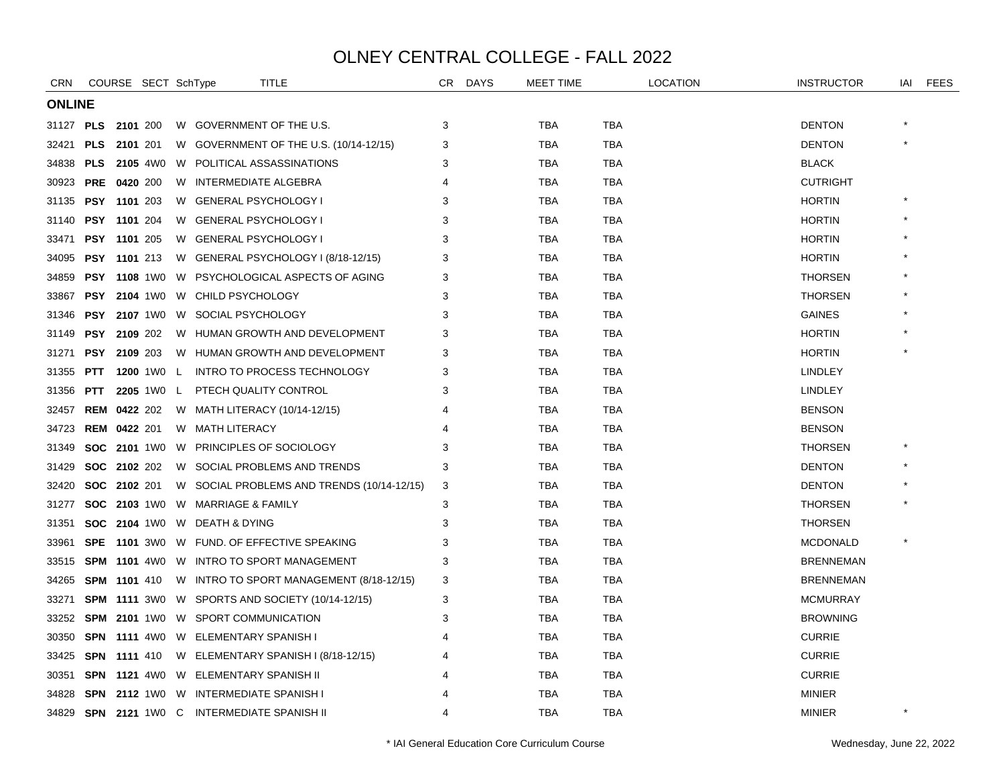| CRN           |            | COURSE SECT SchType   |  |                                              | TITLE                                                   | CR | <b>DAYS</b> | MEET TIME  |            | <b>LOCATION</b> | <b>INSTRUCTOR</b> | iai | FEES |
|---------------|------------|-----------------------|--|----------------------------------------------|---------------------------------------------------------|----|-------------|------------|------------|-----------------|-------------------|-----|------|
| <b>ONLINE</b> |            |                       |  |                                              |                                                         |    |             |            |            |                 |                   |     |      |
| 31127 PLS     |            | 2101 200              |  |                                              | W GOVERNMENT OF THE U.S.                                | 3  |             | <b>TBA</b> | <b>TBA</b> |                 | <b>DENTON</b>     |     |      |
| 32421         | <b>PLS</b> | <b>2101</b> 201       |  |                                              | W GOVERNMENT OF THE U.S. (10/14-12/15)                  | 3  |             | TBA        | TBA        |                 | <b>DENTON</b>     |     |      |
| 34838         |            | <b>PLS</b> 2105 4W0   |  |                                              | W POLITICAL ASSASSINATIONS                              | 3  |             | <b>TBA</b> | <b>TBA</b> |                 | <b>BLACK</b>      |     |      |
| 30923         |            | <b>PRE 0420 200</b>   |  | W INTERMEDIATE ALGEBRA                       |                                                         |    |             | TBA        | TBA        |                 | <b>CUTRIGHT</b>   |     |      |
| 31135         |            | <b>PSY 1101 203</b>   |  | W GENERAL PSYCHOLOGY I                       |                                                         | 3  |             | TBA        | TBA        |                 | <b>HORTIN</b>     |     |      |
| 31140         |            | PSY 1101 204          |  | W GENERAL PSYCHOLOGY I                       |                                                         |    |             | <b>TBA</b> | <b>TBA</b> |                 | <b>HORTIN</b>     |     |      |
| 33471         |            | PSY 1101 205          |  | W GENERAL PSYCHOLOGY I                       |                                                         | 3  |             | <b>TBA</b> | <b>TBA</b> |                 | <b>HORTIN</b>     |     |      |
| 34095         |            | <b>PSY 1101 213</b>   |  |                                              | W GENERAL PSYCHOLOGY I (8/18-12/15)                     | 3  |             | <b>TBA</b> | <b>TBA</b> |                 | <b>HORTIN</b>     |     |      |
| 34859         |            |                       |  |                                              | <b>PSY 1108 1W0 W PSYCHOLOGICAL ASPECTS OF AGING</b>    | 3  |             | <b>TBA</b> | <b>TBA</b> |                 | <b>THORSEN</b>    |     |      |
| 33867         |            | <b>PSY 2104 1W0</b>   |  | W CHILD PSYCHOLOGY                           |                                                         | 3  |             | <b>TBA</b> | TBA        |                 | <b>THORSEN</b>    |     |      |
| 31346         |            | <b>PSY 2107 1W0</b>   |  | W SOCIAL PSYCHOLOGY                          |                                                         |    |             | <b>TBA</b> | <b>TBA</b> |                 | <b>GAINES</b>     |     |      |
| 31149         |            | <b>PSY 2109 202</b>   |  |                                              | W HUMAN GROWTH AND DEVELOPMENT                          |    |             | TBA        | TBA        |                 | <b>HORTIN</b>     |     |      |
| 31271         |            | <b>PSY 2109 203</b>   |  |                                              | W HUMAN GROWTH AND DEVELOPMENT                          | 3  |             | TBA        | TBA        |                 | <b>HORTIN</b>     |     |      |
| 31355         | <b>PTT</b> |                       |  |                                              | 1200 1W0 L INTRO TO PROCESS TECHNOLOGY                  | 3  |             | <b>TBA</b> | <b>TBA</b> |                 | <b>LINDLEY</b>    |     |      |
| 31356         |            | <b>PTT 2205</b> 1W0 L |  |                                              | PTECH QUALITY CONTROL                                   | 3  |             | <b>TBA</b> | TBA        |                 | <b>LINDLEY</b>    |     |      |
| 32457         |            | <b>REM 0422 202</b>   |  |                                              | W MATH LITERACY (10/14-12/15)                           |    |             | <b>TBA</b> | <b>TBA</b> |                 | <b>BENSON</b>     |     |      |
| 34723         |            | <b>REM 0422 201</b>   |  | W MATH LITERACY                              |                                                         |    |             | <b>TBA</b> | <b>TBA</b> |                 | <b>BENSON</b>     |     |      |
| 31349         |            |                       |  |                                              | SOC 2101 1W0 W PRINCIPLES OF SOCIOLOGY                  | 3  |             | TBA        | TBA        |                 | <b>THORSEN</b>    |     |      |
| 31429         |            | <b>SOC 2102 202</b>   |  |                                              | W SOCIAL PROBLEMS AND TRENDS                            | з  |             | <b>TBA</b> | <b>TBA</b> |                 | <b>DENTON</b>     |     |      |
| 32420         |            | SOC 2102 201          |  |                                              | W SOCIAL PROBLEMS AND TRENDS (10/14-12/15)              | 3  |             | <b>TBA</b> | <b>TBA</b> |                 | <b>DENTON</b>     |     |      |
| 31277         |            | <b>SOC 2103 1W0</b>   |  | W MARRIAGE & FAMILY                          |                                                         | 3  |             | TBA        | TBA        |                 | <b>THORSEN</b>    |     |      |
| 31351         |            | <b>SOC 2104 1W0</b>   |  | W DEATH & DYING                              |                                                         | 3  |             | <b>TBA</b> | <b>TBA</b> |                 | <b>THORSEN</b>    |     |      |
| 33961         |            |                       |  |                                              | SPE 1101 3W0 W FUND. OF EFFECTIVE SPEAKING              | 3  |             | <b>TBA</b> | <b>TBA</b> |                 | <b>MCDONALD</b>   |     |      |
| 33515         |            |                       |  |                                              | <b>SPM 1101 4W0 W INTRO TO SPORT MANAGEMENT</b>         | 3  |             | TBA        | TBA        |                 | <b>BRENNEMAN</b>  |     |      |
| 34265         |            | SPM 1101 410          |  |                                              | W INTRO TO SPORT MANAGEMENT (8/18-12/15)                | 3  |             | <b>TBA</b> | <b>TBA</b> |                 | <b>BRENNEMAN</b>  |     |      |
| 33271         |            | <b>SPM 1111 3W0</b>   |  |                                              | W SPORTS AND SOCIETY (10/14-12/15)                      | 3  |             | TBA        | <b>TBA</b> |                 | <b>MCMURRAY</b>   |     |      |
| 33252         |            |                       |  | SPM 2101 1W0 W SPORT COMMUNICATION           |                                                         |    |             | TBA        | TBA        |                 | <b>BROWNING</b>   |     |      |
| 30350         |            |                       |  | <b>SPN 1111 4W0 W ELEMENTARY SPANISH I</b>   |                                                         | 4  |             | <b>TBA</b> | <b>TBA</b> |                 | <b>CURRIE</b>     |     |      |
| 33425         |            |                       |  |                                              | <b>SPN 1111</b> 410 W ELEMENTARY SPANISH I (8/18-12/15) |    |             | TBA        | TBA        |                 | <b>CURRIE</b>     |     |      |
| 30351         |            |                       |  | <b>SPN 1121 4WO W ELEMENTARY SPANISH II</b>  |                                                         |    |             | TBA        | TBA        |                 | <b>CURRIE</b>     |     |      |
| 34828         |            |                       |  | <b>SPN 2112 1WO W INTERMEDIATE SPANISH I</b> |                                                         |    |             | TBA        | <b>TBA</b> |                 | <b>MINIER</b>     |     |      |
|               |            |                       |  | 34829 SPN 2121 1W0 C INTERMEDIATE SPANISH II |                                                         | 4  |             | <b>TBA</b> | <b>TBA</b> |                 | <b>MINIER</b>     |     |      |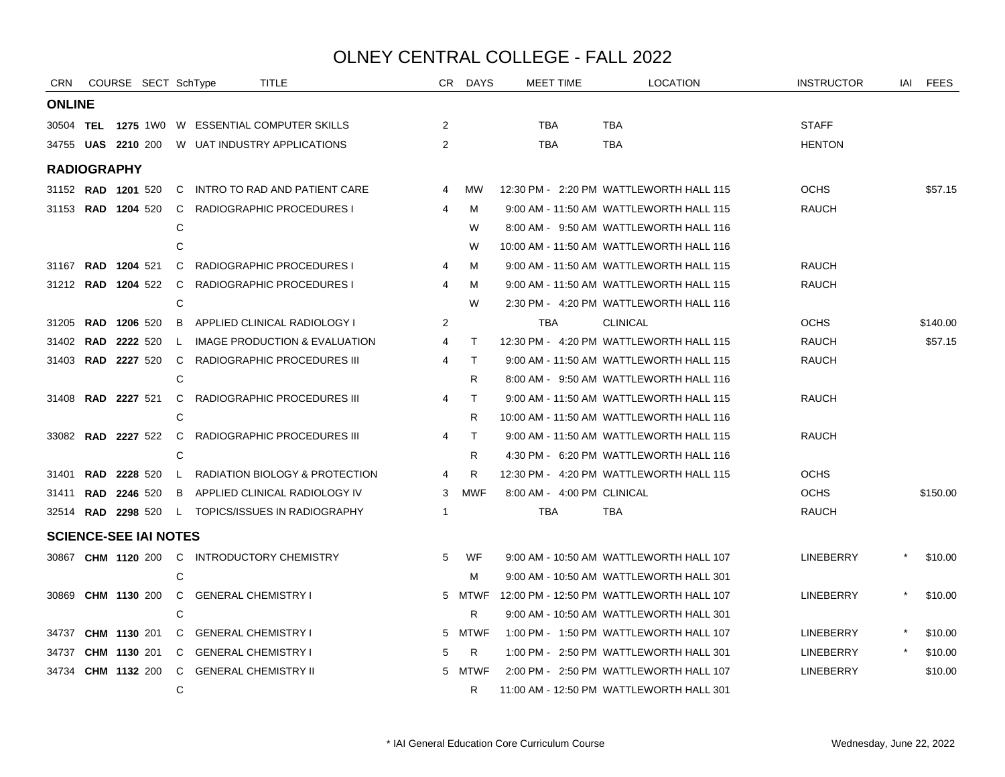| CRN <sub></sub>              |                     |                     | COURSE SECT SchType |              |                                          | <b>TITLE</b>                                      |                | CR DAYS      | <b>MEET TIME</b>           | <b>LOCATION</b>                          | <b>INSTRUCTOR</b> | IAI FEES |
|------------------------------|---------------------|---------------------|---------------------|--------------|------------------------------------------|---------------------------------------------------|----------------|--------------|----------------------------|------------------------------------------|-------------------|----------|
| <b>ONLINE</b>                |                     |                     |                     |              |                                          |                                                   |                |              |                            |                                          |                   |          |
|                              |                     |                     |                     |              |                                          | 30504 TEL 1275 1W0 W ESSENTIAL COMPUTER SKILLS    | 2              |              | <b>TBA</b>                 | <b>TBA</b>                               | <b>STAFF</b>      |          |
|                              |                     |                     |                     |              |                                          | 34755 UAS 2210 200 W UAT INDUSTRY APPLICATIONS    | 2              |              | <b>TBA</b>                 | TBA                                      | <b>HENTON</b>     |          |
| <b>RADIOGRAPHY</b>           |                     |                     |                     |              |                                          |                                                   |                |              |                            |                                          |                   |          |
| 31152 RAD 1201 520           |                     |                     |                     | C.           |                                          | INTRO TO RAD AND PATIENT CARE                     | $\overline{4}$ | мw           |                            | 12:30 PM - 2:20 PM WATTLEWORTH HALL 115  | <b>OCHS</b>       | \$57.15  |
| 31153 RAD 1204 520           |                     |                     |                     |              |                                          | C RADIOGRAPHIC PROCEDURES I                       | 4              | м            |                            | 9:00 AM - 11:50 AM WATTLEWORTH HALL 115  | <b>RAUCH</b>      |          |
|                              |                     |                     |                     | C            |                                          |                                                   |                | W            |                            | 8:00 AM - 9:50 AM WATTLEWORTH HALL 116   |                   |          |
|                              |                     |                     |                     | C            |                                          |                                                   |                | W            |                            | 10:00 AM - 11:50 AM WATTLEWORTH HALL 116 |                   |          |
| 31167 RAD 1204 521           |                     |                     |                     |              |                                          | C RADIOGRAPHIC PROCEDURES I                       | 4              | М            |                            | 9:00 AM - 11:50 AM WATTLEWORTH HALL 115  | <b>RAUCH</b>      |          |
| 31212 RAD 1204 522           |                     |                     |                     | C.           |                                          | RADIOGRAPHIC PROCEDURES I                         | 4              | м            |                            | 9:00 AM - 11:50 AM WATTLEWORTH HALL 115  | <b>RAUCH</b>      |          |
|                              |                     |                     |                     | C            |                                          |                                                   |                | W            |                            | 2:30 PM - 4:20 PM WATTLEWORTH HALL 116   |                   |          |
| 31205                        | <b>RAD 1206 520</b> |                     |                     | B            |                                          | APPLIED CLINICAL RADIOLOGY I                      | 2              |              | <b>TBA</b>                 | <b>CLINICAL</b>                          | <b>OCHS</b>       | \$140.00 |
| 31402 RAD                    |                     | 2222 520            |                     | $\mathsf{L}$ |                                          | IMAGE PRODUCTION & EVALUATION                     | $\overline{4}$ | $\mathsf{T}$ |                            | 12:30 PM - 4:20 PM WATTLEWORTH HALL 115  | <b>RAUCH</b>      | \$57.15  |
|                              |                     |                     |                     |              |                                          | 31403 RAD 2227 520 C RADIOGRAPHIC PROCEDURES III  | 4              | $\mathsf{T}$ |                            | 9:00 AM - 11:50 AM WATTLEWORTH HALL 115  | <b>RAUCH</b>      |          |
|                              |                     |                     |                     | C            |                                          |                                                   |                | R            |                            | 8:00 AM - 9:50 AM WATTLEWORTH HALL 116   |                   |          |
| 31408 <b>RAD 2227</b> 521    |                     |                     |                     |              |                                          | C RADIOGRAPHIC PROCEDURES III                     | 4              | $\top$       |                            | 9:00 AM - 11:50 AM WATTLEWORTH HALL 115  | <b>RAUCH</b>      |          |
|                              |                     |                     |                     | C            |                                          |                                                   |                | R.           |                            | 10:00 AM - 11:50 AM WATTLEWORTH HALL 116 |                   |          |
| 33082 RAD 2227 522           |                     |                     |                     |              |                                          | C RADIOGRAPHIC PROCEDURES III                     | 4              | $\mathsf{T}$ |                            | 9:00 AM - 11:50 AM WATTLEWORTH HALL 115  | <b>RAUCH</b>      |          |
|                              |                     |                     |                     | C            |                                          |                                                   |                | R.           |                            | 4:30 PM - 6:20 PM WATTLEWORTH HALL 116   |                   |          |
| 31401                        | <b>RAD</b>          | 2228 520            |                     |              |                                          | L RADIATION BIOLOGY & PROTECTION                  | 4              | R            |                            | 12:30 PM - 4:20 PM WATTLEWORTH HALL 115  | <b>OCHS</b>       |          |
| 31411 <b>RAD 2246</b> 520    |                     |                     |                     |              |                                          | B APPLIED CLINICAL RADIOLOGY IV                   | 3              | <b>MWF</b>   | 8:00 AM - 4:00 PM CLINICAL |                                          | <b>OCHS</b>       | \$150.00 |
|                              |                     |                     |                     |              |                                          | 32514 RAD 2298 520 L TOPICS/ISSUES IN RADIOGRAPHY | $\mathbf 1$    |              | <b>TBA</b>                 | <b>TBA</b>                               | <b>RAUCH</b>      |          |
| <b>SCIENCE-SEE IAI NOTES</b> |                     |                     |                     |              |                                          |                                                   |                |              |                            |                                          |                   |          |
|                              |                     |                     |                     |              |                                          | 30867 CHM 1120 200 C INTRODUCTORY CHEMISTRY       | 5              | WF           |                            | 9:00 AM - 10:50 AM WATTLEWORTH HALL 107  | LINEBERRY         | \$10.00  |
|                              |                     |                     |                     | C            |                                          |                                                   |                | м            |                            | 9:00 AM - 10:50 AM WATTLEWORTH HALL 301  |                   |          |
|                              |                     |                     |                     |              | 30869 CHM 1130 200 C GENERAL CHEMISTRY I |                                                   |                | 5 MTWF       |                            | 12:00 PM - 12:50 PM WATTLEWORTH HALL 107 | LINEBERRY         | \$10.00  |
|                              |                     |                     |                     | C            |                                          |                                                   |                | R.           |                            | 9:00 AM - 10:50 AM WATTLEWORTH HALL 301  |                   |          |
| 34737 CHM 1130 201           |                     |                     |                     |              | C GENERAL CHEMISTRY I                    |                                                   |                | 5 MTWF       |                            | 1:00 PM - 1:50 PM WATTLEWORTH HALL 107   | LINEBERRY         | \$10.00  |
| 34737                        |                     | <b>CHM 1130 201</b> |                     |              | C GENERAL CHEMISTRY I                    |                                                   | 5              | R.           |                            | 1:00 PM - 2:50 PM WATTLEWORTH HALL 301   | LINEBERRY         | \$10.00  |
| 34734                        | <b>CHM 1132 200</b> |                     |                     |              | C GENERAL CHEMISTRY II                   |                                                   |                | 5 MTWF       |                            | 2:00 PM - 2:50 PM WATTLEWORTH HALL 107   | <b>LINEBERRY</b>  | \$10.00  |
|                              |                     |                     |                     | C            |                                          |                                                   |                | R            |                            | 11:00 AM - 12:50 PM WATTLEWORTH HALL 301 |                   |          |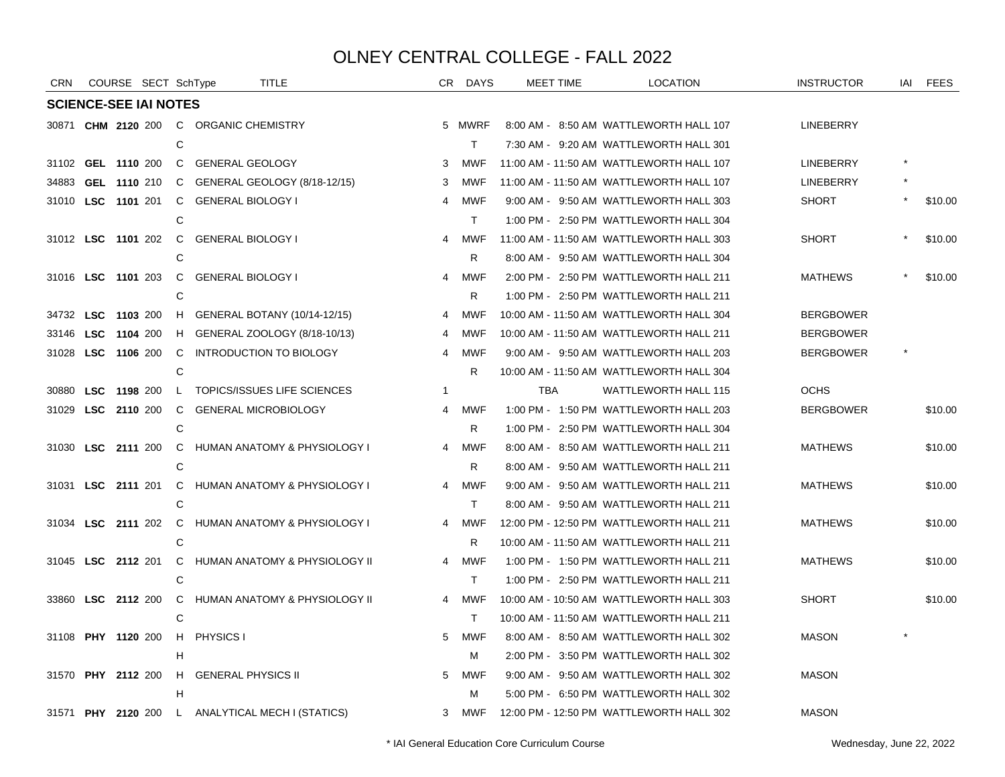| <b>CRN</b> | COURSE SECT SchType          |                |                                        | TITLE                                            |                | CR DAYS      |     | <b>MEET TIME</b> | <b>LOCATION</b>                          | <b>INSTRUCTOR</b> | IAI FEES |
|------------|------------------------------|----------------|----------------------------------------|--------------------------------------------------|----------------|--------------|-----|------------------|------------------------------------------|-------------------|----------|
|            | <b>SCIENCE-SEE IAI NOTES</b> |                |                                        |                                                  |                |              |     |                  |                                          |                   |          |
|            |                              |                | 30871 CHM 2120 200 C ORGANIC CHEMISTRY |                                                  |                | 5 MWRF       |     |                  | 8:00 AM - 8:50 AM WATTLEWORTH HALL 107   | LINEBERRY         |          |
|            |                              | C              |                                        |                                                  |                | $\mathsf{T}$ |     |                  | 7:30 AM - 9:20 AM WATTLEWORTH HALL 301   |                   |          |
|            | 31102 GEL 1110 200           |                | C GENERAL GEOLOGY                      |                                                  | 3              | MWF          |     |                  | 11:00 AM - 11:50 AM WATTLEWORTH HALL 107 | LINEBERRY         |          |
|            | 34883 GEL 1110 210           |                |                                        | C GENERAL GEOLOGY (8/18-12/15)                   | 3              | MWF          |     |                  | 11:00 AM - 11:50 AM WATTLEWORTH HALL 107 | LINEBERRY         |          |
|            | 31010 LSC 1101 201           | C              | GENERAL BIOLOGY I                      |                                                  | 4              | MWF          |     |                  | 9:00 AM - 9:50 AM WATTLEWORTH HALL 303   | <b>SHORT</b>      | \$10.00  |
|            |                              | С              |                                        |                                                  |                | $\mathsf{T}$ |     |                  | 1:00 PM - 2:50 PM WATTLEWORTH HALL 304   |                   |          |
|            | 31012 LSC 1101 202           |                | C GENERAL BIOLOGY I                    |                                                  | 4              | <b>MWF</b>   |     |                  | 11:00 AM - 11:50 AM WATTLEWORTH HALL 303 | <b>SHORT</b>      | \$10.00  |
|            |                              | C              |                                        |                                                  |                | R            |     |                  | 8:00 AM - 9:50 AM WATTLEWORTH HALL 304   |                   |          |
|            | 31016 LSC 1101 203           | C.             | <b>GENERAL BIOLOGY I</b>               |                                                  |                | 4 MWF        |     |                  | 2:00 PM - 2:50 PM WATTLEWORTH HALL 211   | <b>MATHEWS</b>    | \$10.00  |
|            |                              | C              |                                        |                                                  |                | R.           |     |                  | 1:00 PM - 2:50 PM WATTLEWORTH HALL 211   |                   |          |
|            | 34732 LSC 1103 200           | H              |                                        | GENERAL BOTANY (10/14-12/15)                     | 4              | MWF          |     |                  | 10:00 AM - 11:50 AM WATTLEWORTH HALL 304 | <b>BERGBOWER</b>  |          |
|            | 33146 LSC 1104 200           |                |                                        | H GENERAL ZOOLOGY (8/18-10/13)                   | 4              | MWF          |     |                  | 10:00 AM - 11:50 AM WATTLEWORTH HALL 211 | <b>BERGBOWER</b>  |          |
|            | 31028 LSC 1106 200           | $\mathsf{C}$   |                                        | INTRODUCTION TO BIOLOGY                          | 4              | MWF          |     |                  | 9:00 AM - 9:50 AM WATTLEWORTH HALL 203   | <b>BERGBOWER</b>  |          |
|            |                              | С              |                                        |                                                  |                | R            |     |                  | 10:00 AM - 11:50 AM WATTLEWORTH HALL 304 |                   |          |
|            | 30880 LSC 1198 200           | $\mathsf{L}$   |                                        | TOPICS/ISSUES LIFE SCIENCES                      | $\overline{1}$ |              | TBA |                  | <b>WATTLEWORTH HALL 115</b>              | <b>OCHS</b>       |          |
|            | 31029 LSC 2110 200           | C              |                                        | <b>GENERAL MICROBIOLOGY</b>                      | 4              | MWF          |     |                  | 1:00 PM - 1:50 PM WATTLEWORTH HALL 203   | <b>BERGBOWER</b>  | \$10.00  |
|            |                              | C              |                                        |                                                  |                | R            |     |                  | 1:00 PM - 2:50 PM WATTLEWORTH HALL 304   |                   |          |
|            | 31030 LSC 2111 200           | C.             |                                        | HUMAN ANATOMY & PHYSIOLOGY I                     | 4              | MWF          |     |                  | 8:00 AM - 8:50 AM WATTLEWORTH HALL 211   | <b>MATHEWS</b>    | \$10.00  |
|            |                              | C              |                                        |                                                  |                | R            |     |                  | 8:00 AM - 9:50 AM WATTLEWORTH HALL 211   |                   |          |
|            | 31031 LSC 2111 201           | C.             |                                        | <b>HUMAN ANATOMY &amp; PHYSIOLOGY I</b>          |                | 4 MWF        |     |                  | 9:00 AM - 9:50 AM WATTLEWORTH HALL 211   | <b>MATHEWS</b>    | \$10.00  |
|            |                              | C              |                                        |                                                  |                | T            |     |                  | 8:00 AM - 9:50 AM WATTLEWORTH HALL 211   |                   |          |
|            | 31034 LSC 2111 202           | $\overline{C}$ |                                        | HUMAN ANATOMY & PHYSIOLOGY I                     |                | 4 MWF        |     |                  | 12:00 PM - 12:50 PM WATTLEWORTH HALL 211 | <b>MATHEWS</b>    | \$10.00  |
|            |                              | C              |                                        |                                                  |                | R.           |     |                  | 10:00 AM - 11:50 AM WATTLEWORTH HALL 211 |                   |          |
|            | 31045 LSC 2112 201           |                |                                        | C HUMAN ANATOMY & PHYSIOLOGY II                  | $\overline{4}$ | <b>MWF</b>   |     |                  | 1:00 PM - 1:50 PM WATTLEWORTH HALL 211   | <b>MATHEWS</b>    | \$10.00  |
|            |                              | C              |                                        |                                                  |                | $\top$       |     |                  | 1:00 PM - 2:50 PM WATTLEWORTH HALL 211   |                   |          |
|            | 33860 LSC 2112 200           |                |                                        | C HUMAN ANATOMY & PHYSIOLOGY II                  |                | 4 MWF        |     |                  | 10:00 AM - 10:50 AM WATTLEWORTH HALL 303 | <b>SHORT</b>      | \$10.00  |
|            |                              | C              |                                        |                                                  |                | $\top$       |     |                  | 10:00 AM - 11:50 AM WATTLEWORTH HALL 211 |                   |          |
|            | 31108 PHY 1120 200           | H              | PHYSICS I                              |                                                  | 5              | MWF          |     |                  | 8:00 AM - 8:50 AM WATTLEWORTH HALL 302   | <b>MASON</b>      |          |
|            |                              | н              |                                        |                                                  |                | м            |     |                  | 2:00 PM - 3:50 PM WATTLEWORTH HALL 302   |                   |          |
|            | 31570 PHY 2112 200           |                | H GENERAL PHYSICS II                   |                                                  | 5              | MWF          |     |                  | 9:00 AM - 9:50 AM WATTLEWORTH HALL 302   | <b>MASON</b>      |          |
|            |                              | н              |                                        |                                                  |                | м            |     |                  | 5:00 PM - 6:50 PM WATTLEWORTH HALL 302   |                   |          |
|            |                              |                |                                        | 31571 PHY 2120 200 L ANALYTICAL MECH I (STATICS) |                | 3 MWF        |     |                  | 12:00 PM - 12:50 PM WATTLEWORTH HALL 302 | <b>MASON</b>      |          |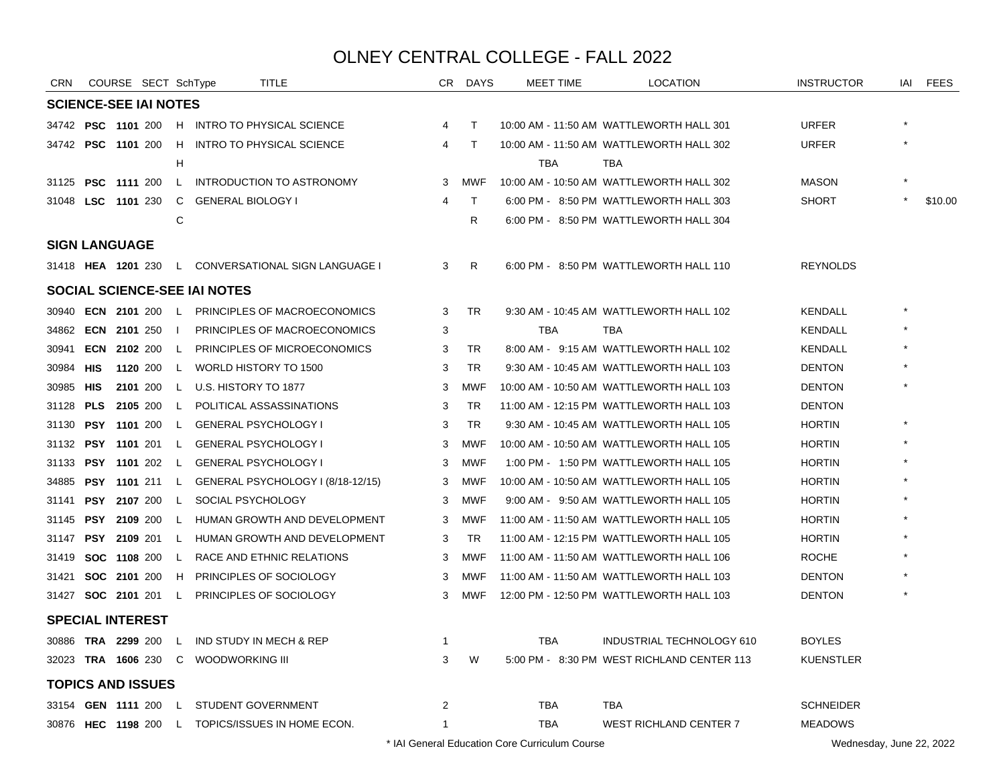| <b>CRN</b> |            | COURSE SECT SchType          |              | <b>TITLE</b>                                             |              | CR DAYS      | <b>MEET TIME</b> | <b>LOCATION</b>                            | <b>INSTRUCTOR</b> | IAI | FEES    |
|------------|------------|------------------------------|--------------|----------------------------------------------------------|--------------|--------------|------------------|--------------------------------------------|-------------------|-----|---------|
|            |            | <b>SCIENCE-SEE IAI NOTES</b> |              |                                                          |              |              |                  |                                            |                   |     |         |
|            |            |                              |              | 34742 PSC 1101 200 H INTRO TO PHYSICAL SCIENCE           | 4            | $\top$       |                  | 10:00 AM - 11:50 AM WATTLEWORTH HALL 301   | <b>URFER</b>      |     |         |
|            |            | 34742 PSC 1101 200           |              | H INTRO TO PHYSICAL SCIENCE                              | 4            | T            |                  | 10:00 AM - 11:50 AM WATTLEWORTH HALL 302   | <b>URFER</b>      |     |         |
|            |            |                              | H            |                                                          |              |              | TBA              | TBA                                        |                   |     |         |
|            |            |                              |              | 31125 PSC 1111 200 L INTRODUCTION TO ASTRONOMY           | 3            | <b>MWF</b>   |                  | 10:00 AM - 10:50 AM WATTLEWORTH HALL 302   | <b>MASON</b>      |     |         |
|            |            |                              |              | 31048 LSC 1101 230 C GENERAL BIOLOGY I                   | 4            | $\mathsf{T}$ |                  | 6:00 PM - 8:50 PM WATTLEWORTH HALL 303     | <b>SHORT</b>      |     | \$10.00 |
|            |            |                              | C            |                                                          |              | R.           |                  | 6:00 PM - 8:50 PM WATTLEWORTH HALL 304     |                   |     |         |
|            |            | <b>SIGN LANGUAGE</b>         |              |                                                          |              |              |                  |                                            |                   |     |         |
|            |            |                              |              | 31418 HEA 1201 230 L CONVERSATIONAL SIGN LANGUAGE I      | 3            | R            |                  | 6:00 PM - 8:50 PM WATTLEWORTH HALL 110     | <b>REYNOLDS</b>   |     |         |
|            |            |                              |              | <b>SOCIAL SCIENCE-SEE IAI NOTES</b>                      |              |              |                  |                                            |                   |     |         |
|            |            |                              |              | 30940 <b>ECN 2101</b> 200 L PRINCIPLES OF MACROECONOMICS | 3            | TR.          |                  | 9:30 AM - 10:45 AM WATTLEWORTH HALL 102    | KENDALL           |     |         |
|            |            | 34862 <b>ECN 2101</b> 250    | -1           | PRINCIPLES OF MACROECONOMICS                             | 3            |              | <b>TBA</b>       | <b>TBA</b>                                 | KENDALL           |     |         |
| 30941      |            |                              |              | <b>ECN 2102 200 L PRINCIPLES OF MICROECONOMICS</b>       | 3            | <b>TR</b>    |                  | 8:00 AM - 9:15 AM WATTLEWORTH HALL 102     | <b>KENDALL</b>    |     |         |
| 30984 HIS  |            |                              |              | 1120 200 L WORLD HISTORY TO 1500                         | 3            | TR.          |                  | 9:30 AM - 10:45 AM WATTLEWORTH HALL 103    | <b>DENTON</b>     |     |         |
| 30985      | HIS        | 2101 200                     |              | L U.S. HISTORY TO 1877                                   | 3            | <b>MWF</b>   |                  | 10:00 AM - 10:50 AM WATTLEWORTH HALL 103   | <b>DENTON</b>     |     |         |
| 31128      | <b>PLS</b> | 2105 200                     | $\mathsf{L}$ | POLITICAL ASSASSINATIONS                                 | 3            | <b>TR</b>    |                  | 11:00 AM - 12:15 PM WATTLEWORTH HALL 103   | <b>DENTON</b>     |     |         |
| 31130      |            | <b>PSY 1101 200</b>          |              | L GENERAL PSYCHOLOGY I                                   | 3            | <b>TR</b>    |                  | 9:30 AM - 10:45 AM WATTLEWORTH HALL 105    | <b>HORTIN</b>     |     |         |
| 31132      |            |                              |              | <b>PSY 1101 201 L GENERAL PSYCHOLOGY I</b>               | 3            | <b>MWF</b>   |                  | 10:00 AM - 10:50 AM WATTLEWORTH HALL 105   | <b>HORTIN</b>     |     |         |
|            |            | 31133 PSY 1101 202 L         |              | <b>GENERAL PSYCHOLOGY I</b>                              | 3            | <b>MWF</b>   |                  | 1:00 PM - 1:50 PM WATTLEWORTH HALL 105     | <b>HORTIN</b>     |     |         |
| 34885      |            |                              |              | <b>PSY 1101</b> 211 L GENERAL PSYCHOLOGY I (8/18-12/15)  | 3            | MWF          |                  | 10:00 AM - 10:50 AM WATTLEWORTH HALL 105   | <b>HORTIN</b>     |     |         |
| 31141      |            | <b>PSY 2107 200</b>          |              | L SOCIAL PSYCHOLOGY                                      | 3            | <b>MWF</b>   |                  | 9:00 AM - 9:50 AM WATTLEWORTH HALL 105     | <b>HORTIN</b>     |     |         |
| 31145      |            | <b>PSY 2109 200</b>          |              | L HUMAN GROWTH AND DEVELOPMENT                           | 3            | <b>MWF</b>   |                  | 11:00 AM - 11:50 AM WATTLEWORTH HALL 105   | <b>HORTIN</b>     |     |         |
| 31147      |            |                              |              | <b>PSY 2109 201 L HUMAN GROWTH AND DEVELOPMENT</b>       | 3            | TR           |                  | 11:00 AM - 12:15 PM WATTLEWORTH HALL 105   | <b>HORTIN</b>     |     |         |
| 31419      |            | <b>SOC 1108 200</b>          |              | L RACE AND ETHNIC RELATIONS                              | 3            | MWF          |                  | 11:00 AM - 11:50 AM WATTLEWORTH HALL 106   | <b>ROCHE</b>      |     |         |
|            |            | 31421 <b>SOC 2101</b> 200    |              | H PRINCIPLES OF SOCIOLOGY                                | 3            | <b>MWF</b>   |                  | 11:00 AM - 11:50 AM WATTLEWORTH HALL 103   | <b>DENTON</b>     |     |         |
|            |            |                              |              | 31427 SOC 2101 201 L PRINCIPLES OF SOCIOLOGY             | 3            | MWF          |                  | 12:00 PM - 12:50 PM WATTLEWORTH HALL 103   | <b>DENTON</b>     |     |         |
|            |            | <b>SPECIAL INTEREST</b>      |              |                                                          |              |              |                  |                                            |                   |     |         |
|            |            |                              |              | 30886 TRA 2299 200 L IND STUDY IN MECH & REP             | $\mathbf{1}$ |              | TBA              | INDUSTRIAL TECHNOLOGY 610                  | <b>BOYLES</b>     |     |         |
|            |            |                              |              | 32023 TRA 1606 230 C WOODWORKING III                     | 3            | W            |                  | 5:00 PM - 8:30 PM WEST RICHLAND CENTER 113 | <b>KUENSTLER</b>  |     |         |
|            |            | <b>TOPICS AND ISSUES</b>     |              |                                                          |              |              |                  |                                            |                   |     |         |
|            |            |                              |              | 33154 GEN 1111 200 L STUDENT GOVERNMENT                  | 2            |              | TBA              | TBA                                        | <b>SCHNEIDER</b>  |     |         |
|            |            |                              |              | 30876 HEC 1198 200 L TOPICS/ISSUES IN HOME ECON.         | $\mathbf{1}$ |              | <b>TBA</b>       | WEST RICHLAND CENTER 7                     | <b>MEADOWS</b>    |     |         |